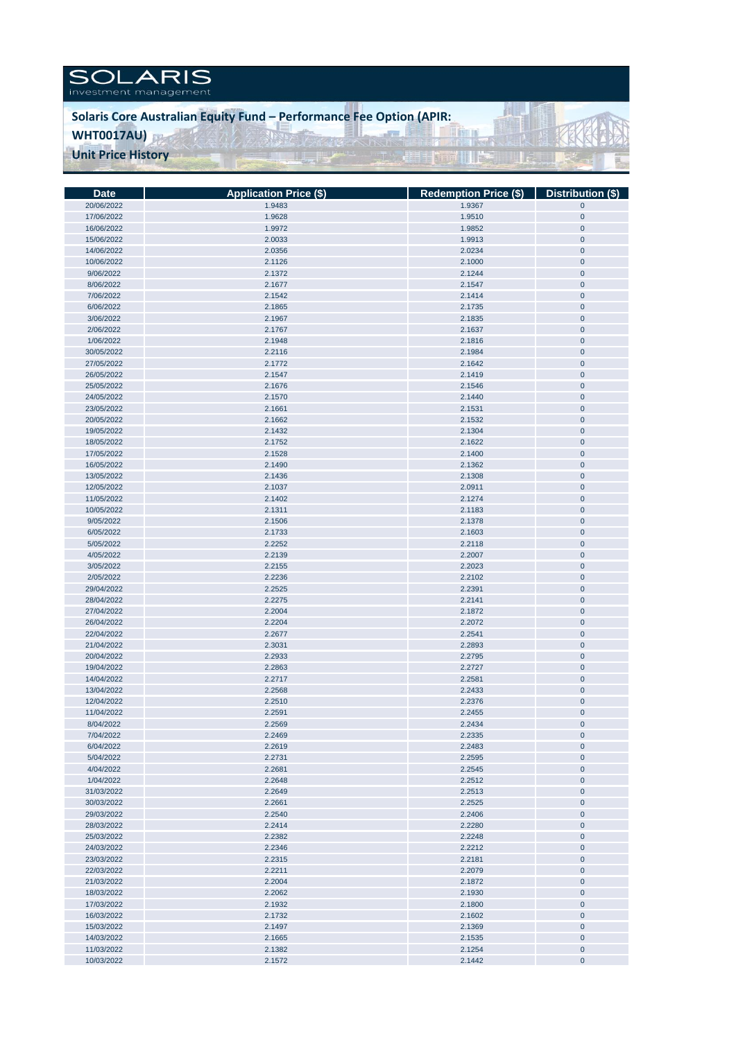

## **Solaris Core Australian Equity Fund – Performance Fee Option (APIR:**

il. **TT** 

**South All Ex** 

**WHT0017AU)**

**Unit Price History** 

| Date       | <b>Application Price (\$)</b> | Redemption Price (\$)   Distribution (\$) |             |
|------------|-------------------------------|-------------------------------------------|-------------|
| 20/06/2022 | 1.9483                        | 1.9367                                    | $\pmb{0}$   |
| 17/06/2022 | 1.9628                        | 1.9510                                    | $\pmb{0}$   |
|            | 1.9972                        |                                           |             |
| 16/06/2022 |                               | 1.9852                                    | $\pmb{0}$   |
| 15/06/2022 | 2.0033                        | 1.9913                                    | $\pmb{0}$   |
| 14/06/2022 | 2.0356                        | 2.0234                                    | $\pmb{0}$   |
| 10/06/2022 | 2.1126                        | 2.1000                                    | $\pmb{0}$   |
| 9/06/2022  | 2.1372                        | 2.1244                                    | $\pmb{0}$   |
| 8/06/2022  | 2.1677                        | 2.1547                                    | $\pmb{0}$   |
| 7/06/2022  | 2.1542                        | 2.1414                                    | $\pmb{0}$   |
|            |                               |                                           |             |
| 6/06/2022  | 2.1865                        | 2.1735                                    | $\pmb{0}$   |
| 3/06/2022  | 2.1967                        | 2.1835                                    | $\pmb{0}$   |
| 2/06/2022  | 2.1767                        | 2.1637                                    | $\pmb{0}$   |
| 1/06/2022  | 2.1948                        | 2.1816                                    | $\pmb{0}$   |
| 30/05/2022 | 2.2116                        | 2.1984                                    | $\pmb{0}$   |
| 27/05/2022 | 2.1772                        | 2.1642                                    | $\pmb{0}$   |
| 26/05/2022 | 2.1547                        | 2.1419                                    | $\pmb{0}$   |
|            |                               |                                           |             |
| 25/05/2022 | 2.1676                        | 2.1546                                    | $\pmb{0}$   |
| 24/05/2022 | 2.1570                        | 2.1440                                    | $\pmb{0}$   |
| 23/05/2022 | 2.1661                        | 2.1531                                    | $\pmb{0}$   |
| 20/05/2022 | 2.1662                        | 2.1532                                    | $\pmb{0}$   |
| 19/05/2022 | 2.1432                        | 2.1304                                    | $\pmb{0}$   |
| 18/05/2022 | 2.1752                        | 2.1622                                    | $\pmb{0}$   |
| 17/05/2022 | 2.1528                        | 2.1400                                    | $\pmb{0}$   |
| 16/05/2022 | 2.1490                        | 2.1362                                    | $\pmb{0}$   |
|            |                               |                                           |             |
| 13/05/2022 | 2.1436                        | 2.1308                                    | $\pmb{0}$   |
| 12/05/2022 | 2.1037                        | 2.0911                                    | $\pmb{0}$   |
| 11/05/2022 | 2.1402                        | 2.1274                                    | $\mathbf 0$ |
| 10/05/2022 | 2.1311                        | 2.1183                                    | $\pmb{0}$   |
| 9/05/2022  | 2.1506                        | 2.1378                                    | $\pmb{0}$   |
| 6/05/2022  | 2.1733                        | 2.1603                                    | $\pmb{0}$   |
| 5/05/2022  | 2.2252                        | 2.2118                                    | $\pmb{0}$   |
| 4/05/2022  | 2.2139                        | 2.2007                                    | $\pmb{0}$   |
|            |                               |                                           |             |
| 3/05/2022  | 2.2155                        | 2.2023                                    | $\pmb{0}$   |
| 2/05/2022  | 2.2236                        | 2.2102                                    | $\pmb{0}$   |
| 29/04/2022 | 2.2525                        | 2.2391                                    | $\pmb{0}$   |
| 28/04/2022 | 2.2275                        | 2.2141                                    | $\pmb{0}$   |
| 27/04/2022 | 2.2004                        | 2.1872                                    | $\pmb{0}$   |
| 26/04/2022 | 2.2204                        | 2.2072                                    | $\pmb{0}$   |
| 22/04/2022 | 2.2677                        | 2.2541                                    | $\pmb{0}$   |
| 21/04/2022 | 2.3031                        | 2.2893                                    | $\pmb{0}$   |
| 20/04/2022 | 2.2933                        | 2.2795                                    | $\pmb{0}$   |
|            |                               |                                           |             |
| 19/04/2022 | 2.2863                        | 2.2727                                    | $\pmb{0}$   |
| 14/04/2022 | 2.2717                        | 2.2581                                    | $\pmb{0}$   |
| 13/04/2022 | 2.2568                        | 2.2433                                    | $\pmb{0}$   |
| 12/04/2022 | 2.2510                        | 2.2376                                    | $\pmb{0}$   |
| 11/04/2022 | 2.2591                        | 2.2455                                    | $\pmb{0}$   |
| 8/04/2022  | 2.2569                        | 2.2434                                    | $\pmb{0}$   |
| 7/04/2022  | 2.2469                        | 2.2335                                    | $\mathbf 0$ |
| 6/04/2022  | 2.2619                        | 2.2483                                    | $\pmb{0}$   |
|            |                               |                                           |             |
| 5/04/2022  | 2.2731                        | 2.2595                                    | $\pmb{0}$   |
| 4/04/2022  | 2.2681                        | 2.2545                                    | $\pmb{0}$   |
| 1/04/2022  | 2.2648                        | 2.2512                                    | $\pmb{0}$   |
| 31/03/2022 | 2.2649                        | 2.2513                                    | $\pmb{0}$   |
| 30/03/2022 | 2.2661                        | 2.2525                                    | $\pmb{0}$   |
| 29/03/2022 | 2.2540                        | 2.2406                                    | $\pmb{0}$   |
| 28/03/2022 | 2.2414                        | 2.2280                                    | $\pmb{0}$   |
| 25/03/2022 | 2.2382                        | 2.2248                                    | $\pmb{0}$   |
| 24/03/2022 | 2.2346                        | 2.2212                                    | $\pmb{0}$   |
|            |                               |                                           |             |
| 23/03/2022 | 2.2315                        | 2.2181                                    | $\pmb{0}$   |
| 22/03/2022 | 2.2211                        | 2.2079                                    | $\pmb{0}$   |
| 21/03/2022 | 2.2004                        | 2.1872                                    | $\pmb{0}$   |
| 18/03/2022 | 2.2062                        | 2.1930                                    | $\pmb{0}$   |
| 17/03/2022 | 2.1932                        | 2.1800                                    | $\pmb{0}$   |
| 16/03/2022 | 2.1732                        | 2.1602                                    | $\pmb{0}$   |
| 15/03/2022 | 2.1497                        | 2.1369                                    | $\pmb{0}$   |
| 14/03/2022 | 2.1665                        | 2.1535                                    | $\pmb{0}$   |
| 11/03/2022 | 2.1382                        | 2.1254                                    | $\pmb{0}$   |
| 10/03/2022 | 2.1572                        | 2.1442                                    | $\pmb{0}$   |
|            |                               |                                           |             |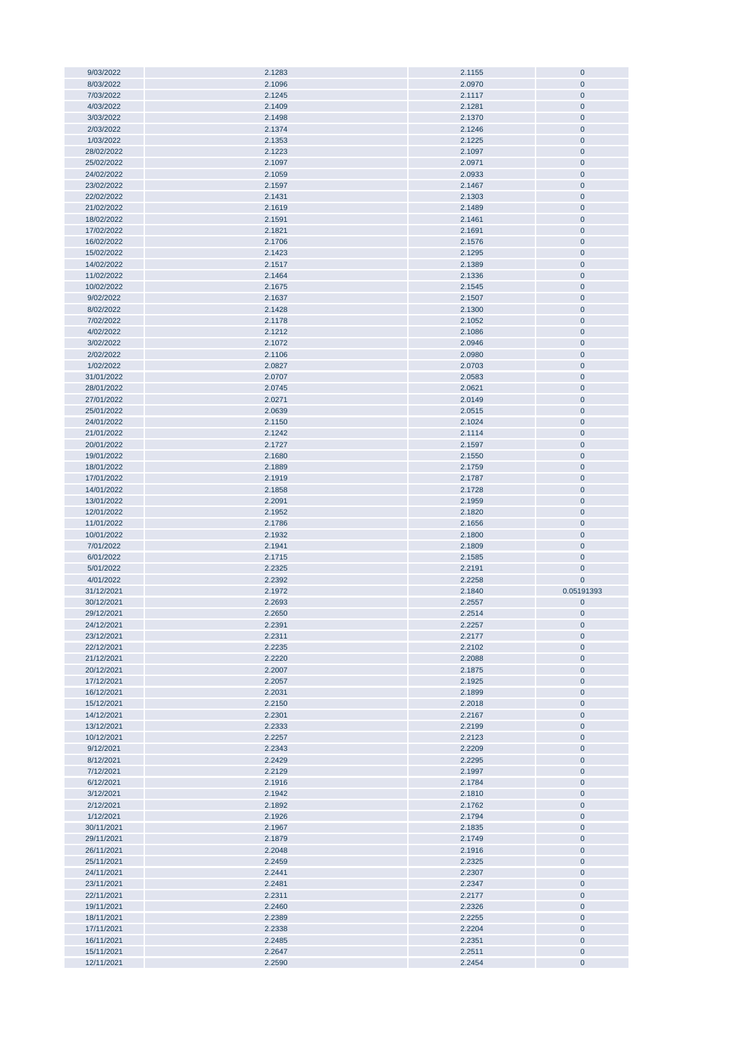| 9/03/2022  | 2.1283 | 2.1155 | $\mathbf 0$  |
|------------|--------|--------|--------------|
| 8/03/2022  | 2.1096 | 2.0970 | $\mathbf 0$  |
| 7/03/2022  | 2.1245 | 2.1117 | $\mathbf 0$  |
|            |        |        |              |
| 4/03/2022  | 2.1409 | 2.1281 | $\mathbf 0$  |
| 3/03/2022  | 2.1498 | 2.1370 | $\pmb{0}$    |
| 2/03/2022  | 2.1374 | 2.1246 | $\pmb{0}$    |
| 1/03/2022  | 2.1353 | 2.1225 | $\pmb{0}$    |
| 28/02/2022 | 2.1223 | 2.1097 | $\pmb{0}$    |
|            |        |        |              |
| 25/02/2022 | 2.1097 | 2.0971 | $\pmb{0}$    |
| 24/02/2022 | 2.1059 | 2.0933 | $\pmb{0}$    |
| 23/02/2022 | 2.1597 | 2.1467 | $\pmb{0}$    |
| 22/02/2022 | 2.1431 | 2.1303 | $\pmb{0}$    |
|            |        |        |              |
| 21/02/2022 | 2.1619 | 2.1489 | $\mathbf 0$  |
| 18/02/2022 | 2.1591 | 2.1461 | $\pmb{0}$    |
| 17/02/2022 | 2.1821 | 2.1691 | $\mathbf 0$  |
| 16/02/2022 | 2.1706 | 2.1576 | $\mathbf 0$  |
| 15/02/2022 | 2.1423 | 2.1295 | $\mathbf 0$  |
|            |        |        |              |
| 14/02/2022 | 2.1517 | 2.1389 | $\pmb{0}$    |
| 11/02/2022 | 2.1464 | 2.1336 | $\mathbf 0$  |
| 10/02/2022 | 2.1675 | 2.1545 | $\mathbf 0$  |
| 9/02/2022  | 2.1637 | 2.1507 | $\pmb{0}$    |
| 8/02/2022  | 2.1428 | 2.1300 | $\pmb{0}$    |
|            |        |        |              |
| 7/02/2022  | 2.1178 | 2.1052 | $\pmb{0}$    |
| 4/02/2022  | 2.1212 | 2.1086 | $\mathbf 0$  |
| 3/02/2022  | 2.1072 | 2.0946 | $\pmb{0}$    |
| 2/02/2022  | 2.1106 | 2.0980 | $\pmb{0}$    |
| 1/02/2022  | 2.0827 | 2.0703 | $\pmb{0}$    |
|            |        |        |              |
| 31/01/2022 | 2.0707 | 2.0583 | $\mathbf 0$  |
| 28/01/2022 | 2.0745 | 2.0621 | $\mathbf 0$  |
| 27/01/2022 | 2.0271 | 2.0149 | $\pmb{0}$    |
| 25/01/2022 | 2.0639 | 2.0515 | $\pmb{0}$    |
| 24/01/2022 | 2.1150 | 2.1024 | $\pmb{0}$    |
|            |        |        |              |
| 21/01/2022 | 2.1242 | 2.1114 | $\pmb{0}$    |
| 20/01/2022 | 2.1727 | 2.1597 | $\pmb{0}$    |
| 19/01/2022 | 2.1680 | 2.1550 | $\pmb{0}$    |
| 18/01/2022 | 2.1889 | 2.1759 | $\mathbf 0$  |
| 17/01/2022 | 2.1919 | 2.1787 | $\mathbf 0$  |
|            |        |        |              |
| 14/01/2022 | 2.1858 | 2.1728 | $\pmb{0}$    |
| 13/01/2022 | 2.2091 | 2.1959 |              |
|            |        |        | $\mathbf 0$  |
| 12/01/2022 | 2.1952 | 2.1820 | $\mathbf{0}$ |
|            |        |        |              |
| 11/01/2022 | 2.1786 | 2.1656 | $\mathbf 0$  |
| 10/01/2022 | 2.1932 | 2.1800 | $\pmb{0}$    |
| 7/01/2022  | 2.1941 | 2.1809 | $\pmb{0}$    |
| 6/01/2022  | 2.1715 | 2.1585 | $\mathbf 0$  |
| 5/01/2022  | 2.2325 | 2.2191 | $\mathbf 0$  |
|            |        |        |              |
| 4/01/2022  | 2.2392 | 2.2258 | $\mathbf 0$  |
| 31/12/2021 | 2.1972 | 2.1840 | 0.05191393   |
| 30/12/2021 | 2.2693 | 2.2557 | $\pmb{0}$    |
| 29/12/2021 | 2.2650 | 2.2514 | $\mathbf 0$  |
| 24/12/2021 | 2.2391 | 2.2257 | $\mathbf 0$  |
|            |        |        |              |
| 23/12/2021 | 2.2311 | 2.2177 | $\pmb{0}$    |
| 22/12/2021 | 2.2235 | 2.2102 | $\pmb{0}$    |
| 21/12/2021 | 2.2220 | 2.2088 | $\pmb{0}$    |
| 20/12/2021 | 2.2007 | 2.1875 | $\pmb{0}$    |
| 17/12/2021 | 2.2057 | 2.1925 | $\pmb{0}$    |
| 16/12/2021 | 2.2031 | 2.1899 | $\bf{0}$     |
|            |        |        |              |
| 15/12/2021 | 2.2150 | 2.2018 | $\pmb{0}$    |
| 14/12/2021 | 2.2301 | 2.2167 | $\bf{0}$     |
| 13/12/2021 | 2.2333 | 2.2199 | $\pmb{0}$    |
| 10/12/2021 | 2.2257 | 2.2123 | $\pmb{0}$    |
| 9/12/2021  | 2.2343 | 2.2209 | $\bf{0}$     |
|            |        |        |              |
| 8/12/2021  | 2.2429 | 2.2295 | $\bf{0}$     |
| 7/12/2021  | 2.2129 | 2.1997 | $\mathbf{0}$ |
| 6/12/2021  | 2.1916 | 2.1784 | $\mathbf 0$  |
| 3/12/2021  | 2.1942 | 2.1810 | $\bf{0}$     |
| 2/12/2021  | 2.1892 | 2.1762 | $\bf{0}$     |
|            |        |        |              |
| 1/12/2021  | 2.1926 | 2.1794 | $\bf{0}$     |
| 30/11/2021 | 2.1967 | 2.1835 | $\mathbf 0$  |
| 29/11/2021 | 2.1879 | 2.1749 | $\pmb{0}$    |
| 26/11/2021 | 2.2048 | 2.1916 | $\pmb{0}$    |
| 25/11/2021 | 2.2459 | 2.2325 | $\pmb{0}$    |
|            |        |        |              |
| 24/11/2021 | 2.2441 | 2.2307 | $\pmb{0}$    |
| 23/11/2021 | 2.2481 | 2.2347 | $\pmb{0}$    |
| 22/11/2021 | 2.2311 | 2.2177 | $\pmb{0}$    |
| 19/11/2021 | 2.2460 | 2.2326 | $\pmb{0}$    |
| 18/11/2021 | 2.2389 | 2.2255 | $\pmb{0}$    |
|            |        |        |              |
| 17/11/2021 | 2.2338 | 2.2204 | $\pmb{0}$    |
| 16/11/2021 | 2.2485 | 2.2351 | $\bf{0}$     |
| 15/11/2021 | 2.2647 | 2.2511 | $\bf{0}$     |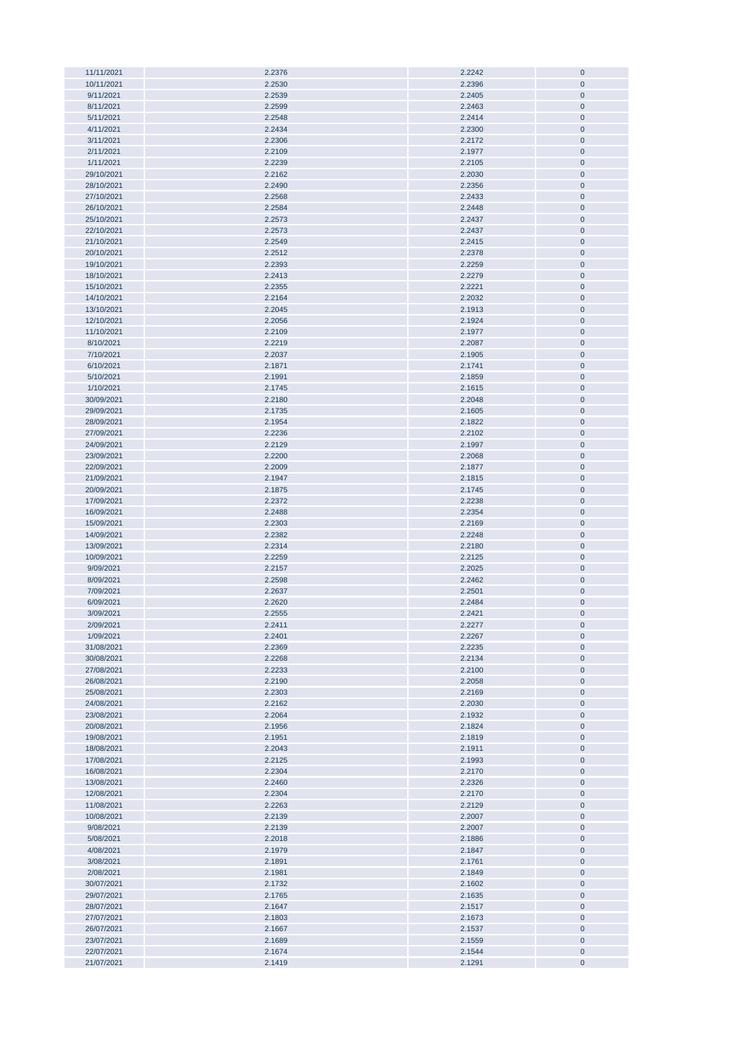| 11/11/2021 | 2.2376 | 2.2242 | $\pmb{0}$ |
|------------|--------|--------|-----------|
| 10/11/2021 | 2.2530 | 2.2396 | $\pmb{0}$ |
|            |        |        |           |
| 9/11/2021  | 2.2539 | 2.2405 | $\pmb{0}$ |
| 8/11/2021  | 2.2599 | 2.2463 | $\pmb{0}$ |
| 5/11/2021  | 2.2548 | 2.2414 | $\pmb{0}$ |
|            |        |        |           |
| 4/11/2021  | 2.2434 | 2.2300 | $\pmb{0}$ |
| 3/11/2021  | 2.2306 | 2.2172 | $\pmb{0}$ |
|            |        |        |           |
| 2/11/2021  | 2.2109 | 2.1977 | $\pmb{0}$ |
| 1/11/2021  | 2.2239 | 2.2105 | $\pmb{0}$ |
|            |        |        |           |
| 29/10/2021 | 2.2162 | 2.2030 | $\pmb{0}$ |
| 28/10/2021 | 2.2490 | 2.2356 | $\pmb{0}$ |
|            |        |        |           |
| 27/10/2021 | 2.2568 | 2.2433 | $\pmb{0}$ |
| 26/10/2021 | 2.2584 | 2.2448 | $\pmb{0}$ |
|            |        |        |           |
| 25/10/2021 | 2.2573 | 2.2437 | $\pmb{0}$ |
| 22/10/2021 | 2.2573 | 2.2437 | $\pmb{0}$ |
| 21/10/2021 | 2.2549 | 2.2415 | $\pmb{0}$ |
|            |        |        |           |
| 20/10/2021 | 2.2512 | 2.2378 | $\pmb{0}$ |
| 19/10/2021 | 2.2393 | 2.2259 | $\pmb{0}$ |
|            |        |        |           |
| 18/10/2021 | 2.2413 | 2.2279 | $\pmb{0}$ |
| 15/10/2021 | 2.2355 | 2.2221 | $\pmb{0}$ |
|            |        |        |           |
| 14/10/2021 | 2.2164 | 2.2032 | $\pmb{0}$ |
| 13/10/2021 | 2.2045 | 2.1913 | $\pmb{0}$ |
| 12/10/2021 | 2.2056 | 2.1924 | $\pmb{0}$ |
|            |        |        |           |
| 11/10/2021 | 2.2109 | 2.1977 | $\pmb{0}$ |
| 8/10/2021  | 2.2219 | 2.2087 | $\pmb{0}$ |
|            |        |        |           |
| 7/10/2021  | 2.2037 | 2.1905 | $\pmb{0}$ |
| 6/10/2021  | 2.1871 | 2.1741 | $\pmb{0}$ |
| 5/10/2021  | 2.1991 | 2.1859 | $\pmb{0}$ |
|            |        |        |           |
| 1/10/2021  | 2.1745 | 2.1615 | $\pmb{0}$ |
| 30/09/2021 | 2.2180 | 2.2048 | $\pmb{0}$ |
|            |        |        |           |
| 29/09/2021 | 2.1735 | 2.1605 | $\pmb{0}$ |
| 28/09/2021 | 2.1954 | 2.1822 | $\pmb{0}$ |
| 27/09/2021 | 2.2236 | 2.2102 | $\pmb{0}$ |
|            |        |        |           |
| 24/09/2021 | 2.2129 | 2.1997 | $\pmb{0}$ |
| 23/09/2021 | 2.2200 | 2.2068 | $\pmb{0}$ |
| 22/09/2021 | 2.2009 | 2.1877 | $\pmb{0}$ |
|            |        |        |           |
| 21/09/2021 | 2.1947 | 2.1815 | $\pmb{0}$ |
| 20/09/2021 | 2.1875 | 2.1745 | $\pmb{0}$ |
| 17/09/2021 | 2.2372 | 2.2238 | $\pmb{0}$ |
|            |        |        |           |
| 16/09/2021 | 2.2488 | 2.2354 | $\pmb{0}$ |
| 15/09/2021 | 2.2303 | 2.2169 | $\pmb{0}$ |
| 14/09/2021 | 2.2382 | 2.2248 | $\bf{0}$  |
|            |        |        |           |
| 13/09/2021 | 2.2314 | 2.2180 | $\pmb{0}$ |
| 10/09/2021 | 2.2259 | 2.2125 | $\pmb{0}$ |
| 9/09/2021  | 2.2157 | 2.2025 | $\pmb{0}$ |
|            |        |        |           |
| 8/09/2021  | 2.2598 | 2.2462 | $\pmb{0}$ |
| 7/09/2021  | 2.2637 | 2.2501 | $\pmb{0}$ |
| 6/09/2021  | 2.2620 | 2.2484 | $\pmb{0}$ |
|            |        |        |           |
| 3/09/2021  | 2.2555 | 2.2421 | $\pmb{0}$ |
| 2/09/2021  | 2.2411 | 2.2277 | $\pmb{0}$ |
|            |        |        |           |
| 1/09/2021  | 2.2401 | 2.2267 | $\pmb{0}$ |
| 31/08/2021 | 2.2369 | 2.2235 | $\pmb{0}$ |
| 30/08/2021 | 2.2268 | 2.2134 | $\pmb{0}$ |
|            |        |        |           |
| 27/08/2021 | 2.2233 | 2.2100 | $\pmb{0}$ |
| 26/08/2021 | 2.2190 | 2.2058 | $\pmb{0}$ |
| 25/08/2021 | 2.2303 | 2.2169 | $\pmb{0}$ |
|            |        |        |           |
| 24/08/2021 | 2.2162 | 2.2030 | $\pmb{0}$ |
| 23/08/2021 | 2.2064 | 2.1932 | $\pmb{0}$ |
| 20/08/2021 | 2.1956 | 2.1824 | $\pmb{0}$ |
|            |        |        |           |
| 19/08/2021 | 2.1951 | 2.1819 | $\pmb{0}$ |
| 18/08/2021 | 2.2043 | 2.1911 | $\pmb{0}$ |
| 17/08/2021 | 2.2125 | 2.1993 | $\pmb{0}$ |
|            |        |        |           |
| 16/08/2021 | 2.2304 | 2.2170 | $\pmb{0}$ |
| 13/08/2021 | 2.2460 | 2.2326 | $\pmb{0}$ |
| 12/08/2021 | 2.2304 | 2.2170 | $\pmb{0}$ |
|            |        |        |           |
| 11/08/2021 | 2.2263 | 2.2129 | $\pmb{0}$ |
| 10/08/2021 | 2.2139 | 2.2007 | $\bf{0}$  |
| 9/08/2021  | 2.2139 | 2.2007 | $\pmb{0}$ |
|            |        |        |           |
| 5/08/2021  | 2.2018 | 2.1886 | $\pmb{0}$ |
| 4/08/2021  | 2.1979 | 2.1847 | $\pmb{0}$ |
| 3/08/2021  | 2.1891 | 2.1761 | $\pmb{0}$ |
|            |        |        |           |
| 2/08/2021  | 2.1981 | 2.1849 | $\pmb{0}$ |
| 30/07/2021 | 2.1732 | 2.1602 | $\pmb{0}$ |
| 29/07/2021 | 2.1765 | 2.1635 | $\pmb{0}$ |
|            |        |        |           |
| 28/07/2021 | 2.1647 | 2.1517 | $\pmb{0}$ |
| 27/07/2021 | 2.1803 | 2.1673 | $\pmb{0}$ |
| 26/07/2021 | 2.1667 | 2.1537 | $\pmb{0}$ |
|            |        |        |           |
| 23/07/2021 | 2.1689 | 2.1559 | $\pmb{0}$ |
| 22/07/2021 | 2.1674 | 2.1544 | $\pmb{0}$ |
| 21/07/2021 | 2.1419 | 2.1291 | $\pmb{0}$ |
|            |        |        |           |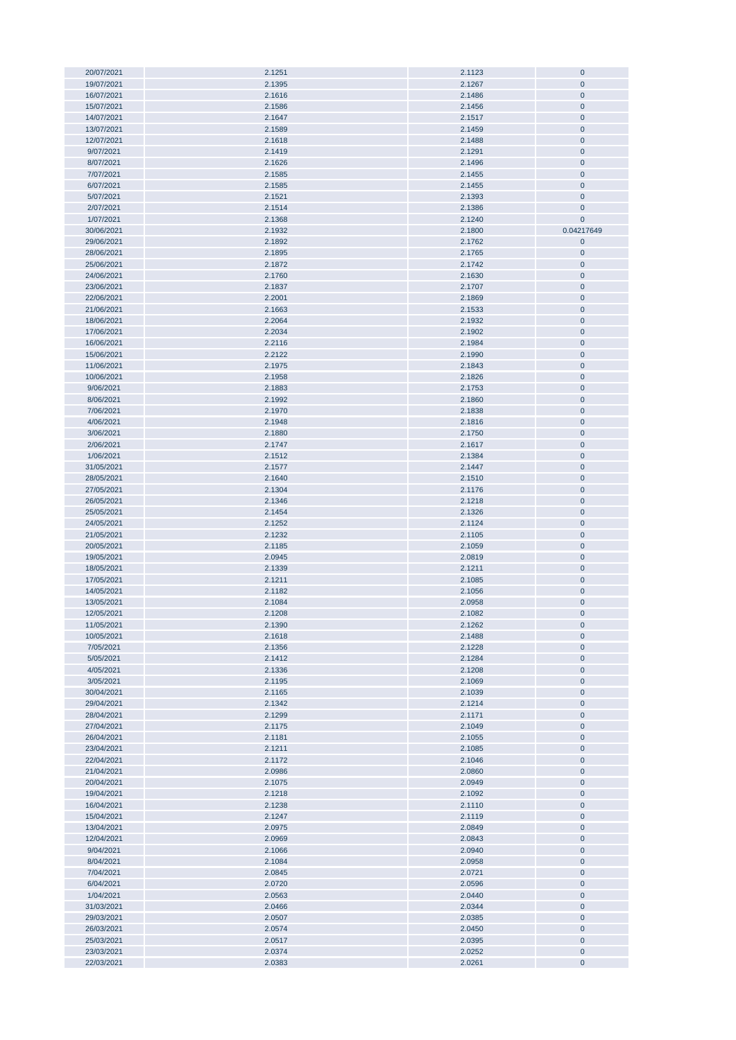| 20/07/2021               | 2.1251           | 2.1123           | $\pmb{0}$              |
|--------------------------|------------------|------------------|------------------------|
|                          |                  |                  | $\mathbf{0}$           |
| 19/07/2021               | 2.1395           | 2.1267           |                        |
| 16/07/2021               | 2.1616           | 2.1486           | $\pmb{0}$              |
| 15/07/2021               | 2.1586           | 2.1456           | $\overline{0}$         |
| 14/07/2021               | 2.1647           | 2.1517           | $\pmb{0}$              |
|                          |                  |                  |                        |
| 13/07/2021               | 2.1589           | 2.1459           | $\pmb{0}$              |
| 12/07/2021               | 2.1618           | 2.1488           | $\mathbf 0$            |
| 9/07/2021                | 2.1419           | 2.1291           | $\pmb{0}$              |
| 8/07/2021                | 2.1626           | 2.1496           | $\pmb{0}$              |
|                          |                  |                  |                        |
| 7/07/2021                | 2.1585           | 2.1455           | $\pmb{0}$              |
| 6/07/2021                | 2.1585           | 2.1455           | $\pmb{0}$              |
| 5/07/2021                | 2.1521           | 2.1393           | $\bf{0}$               |
| 2/07/2021                | 2.1514           | 2.1386           | $\pmb{0}$              |
|                          |                  |                  |                        |
| 1/07/2021                | 2.1368           | 2.1240           | $\mathbf 0$            |
| 30/06/2021               | 2.1932           | 2.1800           | 0.04217649             |
| 29/06/2021               | 2.1892           | 2.1762           | $\pmb{0}$              |
| 28/06/2021               | 2.1895           | 2.1765           | $\bf{0}$               |
|                          |                  |                  |                        |
| 25/06/2021               | 2.1872           | 2.1742           | $\pmb{0}$              |
| 24/06/2021               | 2.1760           | 2.1630           | $\pmb{0}$              |
| 23/06/2021               | 2.1837           | 2.1707           | $\bf{0}$               |
| 22/06/2021               | 2.2001           | 2.1869           | $\pmb{0}$              |
|                          |                  |                  |                        |
| 21/06/2021               | 2.1663           | 2.1533           | $\pmb{0}$              |
| 18/06/2021               | 2.2064           | 2.1932           | $\pmb{0}$              |
| 17/06/2021               | 2.2034           | 2.1902           | $\bf{0}$               |
| 16/06/2021               | 2.2116           | 2.1984           | $\bf{0}$               |
|                          | 2.2122           |                  |                        |
| 15/06/2021               |                  | 2.1990           | $\pmb{0}$              |
| 11/06/2021               | 2.1975           | 2.1843           | $\overline{0}$         |
| 10/06/2021               | 2.1958           | 2.1826           | $\pmb{0}$              |
| 9/06/2021                | 2.1883           | 2.1753           | $\overline{0}$         |
|                          |                  |                  |                        |
| 8/06/2021                | 2.1992           | 2.1860           | $\pmb{0}$              |
| 7/06/2021                | 2.1970           | 2.1838           | $\pmb{0}$              |
| 4/06/2021                | 2.1948           | 2.1816           | $\pmb{0}$              |
| 3/06/2021                | 2.1880           | 2.1750           | $\pmb{0}$              |
|                          |                  |                  |                        |
| 2/06/2021                | 2.1747           | 2.1617           | $\pmb{0}$              |
| 1/06/2021                | 2.1512           | 2.1384           | $\pmb{0}$              |
| 31/05/2021               | 2.1577           | 2.1447           | $\pmb{0}$              |
| 28/05/2021               | 2.1640           | 2.1510           | $\pmb{0}$              |
|                          |                  |                  |                        |
| 27/05/2021               | 2.1304           | 2.1176           | $\pmb{0}$              |
| 26/05/2021               | 2.1346           | 2.1218           | $\pmb{0}$              |
| 25/05/2021               | 2.1454           | 2.1326           | $\pmb{0}$              |
| 24/05/2021               | 2.1252           | 2.1124           | $\bf{0}$               |
|                          |                  |                  |                        |
| 21/05/2021               | 2.1232           | 2.1105           | $\pmb{0}$              |
| 20/05/2021               | 2.1185           | 2.1059           | $\pmb{0}$              |
| 19/05/2021               | 2.0945           | 2.0819           | $\pmb{0}$              |
| 18/05/2021               | 2.1339           | 2.1211           | $\pmb{0}$              |
|                          |                  |                  |                        |
| 17/05/2021               | 2.1211           | 2.1085           | $\pmb{0}$              |
| 14/05/2021               | 2.1182           | 2.1056           | $\pmb{0}$              |
| 13/05/2021               | 2.1084           | 2.0958           | $\mathbf{0}$           |
| 12/05/2021               | 2.1208           | 2.1082           | $\mathbf 0$            |
|                          |                  |                  |                        |
| 11/05/2021               | 2.1390           | 2.1262           | $\mathbf{0}$           |
| 10/05/2021               | 2.1618           | 2.1488           | $\pmb{0}$              |
| 7/05/2021                | 2.1356           | 2.1228           | $\bf{0}$               |
| 5/05/2021                | 2.1412           | 2.1284           | $\pmb{0}$              |
|                          |                  |                  |                        |
| 4/05/2021                | 2.1336           | 2.1208           | $\pmb{0}$              |
| 3/05/2021                | 2.1195           | 2.1069           | $\pmb{0}$              |
| 30/04/2021               | 2.1165           | 2.1039           | $\pmb{0}$              |
| 29/04/2021               | 2.1342           | 2.1214           | $\pmb{0}$              |
|                          |                  |                  |                        |
| 28/04/2021               | 2.1299           | 2.1171           | $\pmb{0}$              |
| 27/04/2021               | 2.1175           | 2.1049           | $\pmb{0}$              |
| 26/04/2021               | 2.1181           | 2.1055           | $\pmb{0}$              |
| 23/04/2021               | 2.1211           | 2.1085           | $\pmb{0}$              |
| 22/04/2021               | 2.1172           | 2.1046           | $\pmb{0}$              |
|                          |                  |                  |                        |
| 21/04/2021               | 2.0986           | 2.0860           | $\pmb{0}$              |
| 20/04/2021               | 2.1075           | 2.0949           | $\bf{0}$               |
| 19/04/2021               | 2.1218           | 2.1092           | $\pmb{0}$              |
| 16/04/2021               | 2.1238           | 2.1110           | $\pmb{0}$              |
|                          |                  |                  |                        |
| 15/04/2021               | 2.1247           | 2.1119           | $\pmb{0}$              |
| 13/04/2021               | 2.0975           | 2.0849           | $\bf{0}$               |
| 12/04/2021               | 2.0969           | 2.0843           | $\pmb{0}$              |
| 9/04/2021                | 2.1066           | 2.0940           | $\pmb{0}$              |
|                          |                  |                  |                        |
| 8/04/2021                | 2.1084           | 2.0958           | $\bf{0}$               |
| 7/04/2021                | 2.0845           | 2.0721           | $\bf{0}$               |
| 6/04/2021                | 2.0720           | 2.0596           | $\bf{0}$               |
| 1/04/2021                | 2.0563           | 2.0440           | $\pmb{0}$              |
|                          |                  |                  |                        |
| 31/03/2021               | 2.0466           | 2.0344           | $\bf{0}$               |
|                          |                  |                  |                        |
| 29/03/2021               | 2.0507           | 2.0385           | $\pmb{0}$              |
|                          |                  |                  |                        |
| 26/03/2021               | 2.0574           | 2.0450           | $\boldsymbol{0}$       |
| 25/03/2021               | 2.0517           | 2.0395           | $\pmb{0}$              |
| 23/03/2021<br>22/03/2021 | 2.0374<br>2.0383 | 2.0252<br>2.0261 | $\pmb{0}$<br>$\pmb{0}$ |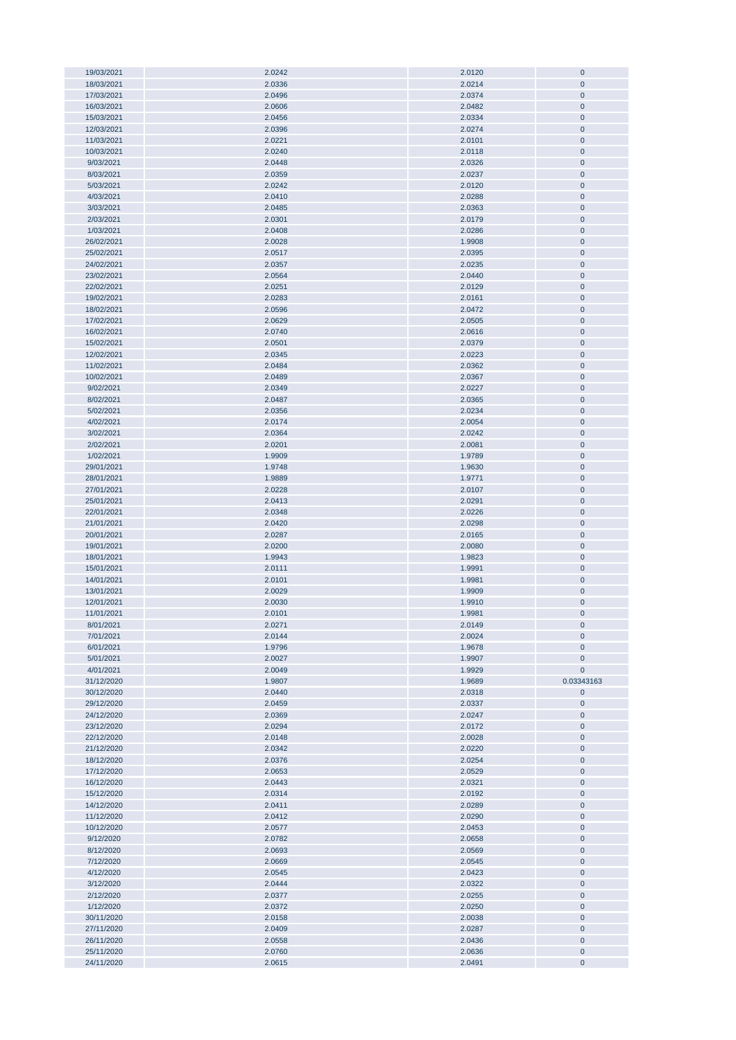| 19/03/2021               | 2.0242           | 2.0120           | 0                      |
|--------------------------|------------------|------------------|------------------------|
|                          |                  |                  |                        |
| 18/03/2021               | 2.0336           | 2.0214           | $\pmb{0}$              |
| 17/03/2021               | 2.0496           | 2.0374           | $\mathbf 0$            |
| 16/03/2021               | 2.0606           | 2.0482           | $\pmb{0}$              |
|                          |                  |                  |                        |
| 15/03/2021               | 2.0456           | 2.0334           | $\pmb{0}$              |
| 12/03/2021               | 2.0396           | 2.0274           | $\pmb{0}$              |
| 11/03/2021               | 2.0221           | 2.0101           | $\mathbf 0$            |
|                          |                  |                  |                        |
| 10/03/2021               | 2.0240           | 2.0118           | $\mathbf 0$            |
| 9/03/2021                | 2.0448           | 2.0326           | $\mathbf 0$            |
|                          |                  |                  |                        |
| 8/03/2021                | 2.0359           | 2.0237           | $\pmb{0}$              |
| 5/03/2021                | 2.0242           | 2.0120           | $\pmb{0}$              |
| 4/03/2021                | 2.0410           | 2.0288           | $\pmb{0}$              |
|                          |                  |                  |                        |
| 3/03/2021                | 2.0485           | 2.0363           | $\pmb{0}$              |
| 2/03/2021                | 2.0301           | 2.0179           | $\pmb{0}$              |
|                          |                  |                  |                        |
| 1/03/2021                | 2.0408           | 2.0286           | $\pmb{0}$              |
| 26/02/2021               | 2.0028           | 1.9908           | $\pmb{0}$              |
| 25/02/2021               | 2.0517           | 2.0395           | $\pmb{0}$              |
|                          |                  |                  |                        |
| 24/02/2021               | 2.0357           | 2.0235           | $\pmb{0}$              |
| 23/02/2021               | 2.0564           | 2.0440           | $\pmb{0}$              |
| 22/02/2021               | 2.0251           | 2.0129           | 0                      |
|                          |                  |                  |                        |
| 19/02/2021               | 2.0283           | 2.0161           | $\pmb{0}$              |
| 18/02/2021               | 2.0596           | 2.0472           | $\pmb{0}$              |
|                          |                  |                  |                        |
| 17/02/2021               | 2.0629           | 2.0505           | $\pmb{0}$              |
| 16/02/2021               | 2.0740           | 2.0616           | $\pmb{0}$              |
| 15/02/2021               | 2.0501           | 2.0379           | $\pmb{0}$              |
|                          |                  |                  |                        |
| 12/02/2021               | 2.0345           | 2.0223           | $\pmb{0}$              |
| 11/02/2021               | 2.0484           | 2.0362           | $\pmb{0}$              |
| 10/02/2021               | 2.0489           | 2.0367           | $\pmb{0}$              |
|                          |                  |                  |                        |
| 9/02/2021                | 2.0349           | 2.0227           | $\pmb{0}$              |
| 8/02/2021                | 2.0487           | 2.0365           | $\pmb{0}$              |
|                          |                  |                  |                        |
| 5/02/2021                | 2.0356           | 2.0234           | $\pmb{0}$              |
| 4/02/2021                | 2.0174           | 2.0054           | $\mathbf 0$            |
| 3/02/2021                | 2.0364           | 2.0242           | $\mathbf 0$            |
|                          |                  |                  |                        |
| 2/02/2021                | 2.0201           | 2.0081           | $\pmb{0}$              |
| 1/02/2021                | 1.9909           | 1.9789           | $\pmb{0}$              |
| 29/01/2021               | 1.9748           | 1.9630           | $\pmb{0}$              |
|                          |                  |                  |                        |
| 28/01/2021               | 1.9889           | 1.9771           | $\pmb{0}$              |
| 27/01/2021               | 2.0228           | 2.0107           | $\pmb{0}$              |
|                          |                  |                  |                        |
| 25/01/2021               | 2.0413           | 2.0291           | $\pmb{0}$              |
| 22/01/2021               | 2.0348           | 2.0226           | $\pmb{0}$              |
| 21/01/2021               | 2.0420           | 2.0298           | $\pmb{0}$              |
|                          |                  |                  |                        |
| 20/01/2021               | 2.0287           | 2.0165           | $\pmb{0}$              |
| 19/01/2021               | 2.0200           | 2.0080           | $\pmb{0}$              |
| 18/01/2021               | 1.9943           | 1.9823           | $\pmb{0}$              |
|                          |                  |                  |                        |
| 15/01/2021               | 2.0111           | 1.9991           | $\mathbf 0$            |
| 14/01/2021               | 2.0101           | 1.9981           | $\pmb{0}$              |
|                          |                  |                  | $\pmb{0}$              |
| 13/01/2021               | 2.0029           | 1.9909           |                        |
| 12/01/2021               | 2.0030           | 1.9910           | $\pmb{0}$              |
| 11/01/2021               | 2.0101           | 1.9981           | $\pmb{0}$              |
|                          |                  |                  |                        |
| 8/01/2021                | 2.0271           | 2.0149           | 0                      |
| 7/01/2021                | 2.0144           | 2.0024           | $\pmb{0}$              |
| 6/01/2021                | 1.9796           | 1.9678           | $\pmb{0}$              |
|                          |                  |                  |                        |
| 5/01/2021                | 2.0027           | 1.9907           | $\pmb{0}$              |
| 4/01/2021                | 2.0049           | 1.9929           | $\pmb{0}$              |
| 31/12/2020               | 1.9807           | 1.9689           | 0.03343163             |
|                          |                  |                  |                        |
| 30/12/2020               | 2.0440           | 2.0318           | $\pmb{0}$              |
| 29/12/2020               | 2.0459           | 2.0337           | $\pmb{0}$              |
| 24/12/2020               | 2.0369           | 2.0247           | $\pmb{0}$              |
|                          |                  |                  |                        |
| 23/12/2020               | 2.0294           | 2.0172           | $\pmb{0}$              |
| 22/12/2020               | 2.0148           | 2.0028           | $\pmb{0}$              |
|                          |                  |                  |                        |
| 21/12/2020               | 2.0342           | 2.0220           | $\pmb{0}$              |
| 18/12/2020               | 2.0376           | 2.0254           | $\pmb{0}$              |
| 17/12/2020               | 2.0653           | 2.0529           | $\pmb{0}$              |
|                          |                  |                  |                        |
| 16/12/2020               | 2.0443           | 2.0321           | $\pmb{0}$              |
| 15/12/2020               | 2.0314           | 2.0192           | $\pmb{0}$              |
| 14/12/2020               | 2.0411           | 2.0289           | 0                      |
|                          |                  |                  |                        |
| 11/12/2020               | 2.0412           | 2.0290           | 0                      |
| 10/12/2020               | 2.0577           | 2.0453           | 0                      |
| 9/12/2020                | 2.0782           | 2.0658           | 0                      |
|                          |                  |                  |                        |
| 8/12/2020                | 2.0693           | 2.0569           | 0                      |
| 7/12/2020                | 2.0669           | 2.0545           | 0                      |
|                          |                  |                  |                        |
| 4/12/2020                | 2.0545           | 2.0423           | $\pmb{0}$              |
| 3/12/2020                | 2.0444           | 2.0322           | 0                      |
| 2/12/2020                | 2.0377           | 2.0255           | $\pmb{0}$              |
|                          |                  |                  |                        |
| 1/12/2020                | 2.0372           | 2.0250           | $\pmb{0}$              |
| 30/11/2020               | 2.0158           | 2.0038           | $\pmb{0}$              |
| 27/11/2020               | 2.0409           | 2.0287           | $\pmb{0}$              |
|                          |                  |                  |                        |
| 26/11/2020               |                  | 2.0436           | $\pmb{0}$              |
|                          | 2.0558           |                  |                        |
|                          |                  |                  |                        |
| 25/11/2020<br>24/11/2020 | 2.0760<br>2.0615 | 2.0636<br>2.0491 | $\pmb{0}$<br>$\pmb{0}$ |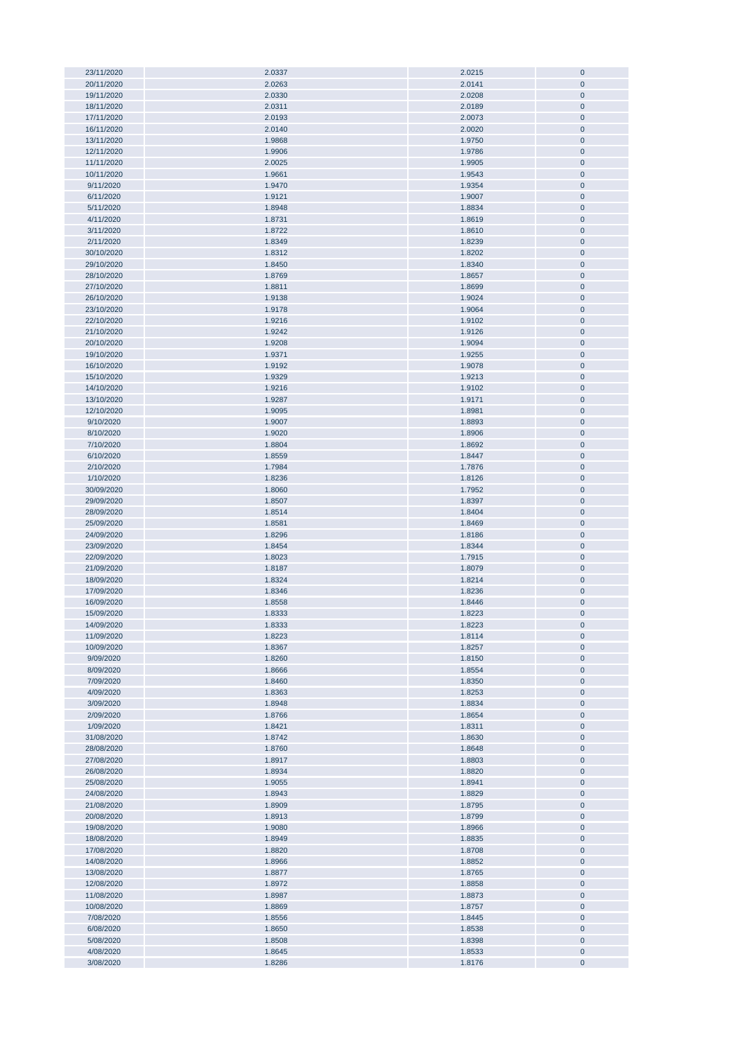| 23/11/2020 | 2.0337 | 2.0215 | $\bf{0}$     |
|------------|--------|--------|--------------|
|            |        |        |              |
| 20/11/2020 | 2.0263 | 2.0141 | $\pmb{0}$    |
| 19/11/2020 | 2.0330 | 2.0208 | $\pmb{0}$    |
| 18/11/2020 | 2.0311 | 2.0189 | $\pmb{0}$    |
|            |        |        |              |
| 17/11/2020 | 2.0193 | 2.0073 | $\pmb{0}$    |
| 16/11/2020 | 2.0140 | 2.0020 | $\pmb{0}$    |
| 13/11/2020 | 1.9868 | 1.9750 | $\pmb{0}$    |
|            |        |        |              |
| 12/11/2020 | 1.9906 | 1.9786 | $\pmb{0}$    |
| 11/11/2020 | 2.0025 | 1.9905 | $\pmb{0}$    |
| 10/11/2020 | 1.9661 | 1.9543 | $\pmb{0}$    |
|            |        |        |              |
| 9/11/2020  | 1.9470 | 1.9354 | $\pmb{0}$    |
| 6/11/2020  | 1.9121 | 1.9007 | $\pmb{0}$    |
| 5/11/2020  | 1.8948 | 1.8834 | $\pmb{0}$    |
|            |        |        |              |
| 4/11/2020  | 1.8731 | 1.8619 | $\pmb{0}$    |
| 3/11/2020  | 1.8722 | 1.8610 | $\pmb{0}$    |
| 2/11/2020  | 1.8349 | 1.8239 | $\pmb{0}$    |
|            |        |        |              |
| 30/10/2020 | 1.8312 | 1.8202 | $\pmb{0}$    |
| 29/10/2020 | 1.8450 | 1.8340 | $\pmb{0}$    |
| 28/10/2020 | 1.8769 | 1.8657 | $\pmb{0}$    |
|            |        |        |              |
| 27/10/2020 | 1.8811 | 1.8699 | $\pmb{0}$    |
| 26/10/2020 | 1.9138 | 1.9024 | $\bf{0}$     |
| 23/10/2020 | 1.9178 | 1.9064 | $\pmb{0}$    |
|            |        |        |              |
| 22/10/2020 | 1.9216 | 1.9102 | $\bf{0}$     |
| 21/10/2020 | 1.9242 | 1.9126 | $\pmb{0}$    |
| 20/10/2020 | 1.9208 | 1.9094 | $\bf{0}$     |
|            |        |        |              |
| 19/10/2020 | 1.9371 | 1.9255 | $\pmb{0}$    |
| 16/10/2020 | 1.9192 | 1.9078 | $\pmb{0}$    |
| 15/10/2020 | 1.9329 | 1.9213 | $\pmb{0}$    |
|            |        |        |              |
| 14/10/2020 | 1.9216 | 1.9102 | $\pmb{0}$    |
| 13/10/2020 | 1.9287 | 1.9171 | $\pmb{0}$    |
| 12/10/2020 | 1.9095 | 1.8981 | $\pmb{0}$    |
|            |        |        |              |
| 9/10/2020  | 1.9007 | 1.8893 | $\pmb{0}$    |
| 8/10/2020  | 1.9020 | 1.8906 | $\pmb{0}$    |
| 7/10/2020  | 1.8804 | 1.8692 | $\pmb{0}$    |
|            |        |        |              |
| 6/10/2020  | 1.8559 | 1.8447 | $\pmb{0}$    |
| 2/10/2020  | 1.7984 | 1.7876 | $\pmb{0}$    |
| 1/10/2020  | 1.8236 | 1.8126 | $\pmb{0}$    |
| 30/09/2020 | 1.8060 | 1.7952 | $\pmb{0}$    |
|            |        |        |              |
| 29/09/2020 | 1.8507 | 1.8397 | $\pmb{0}$    |
| 28/09/2020 | 1.8514 | 1.8404 | $\pmb{0}$    |
| 25/09/2020 | 1.8581 | 1.8469 | $\pmb{0}$    |
|            |        |        |              |
| 24/09/2020 | 1.8296 | 1.8186 | $\pmb{0}$    |
| 23/09/2020 | 1.8454 | 1.8344 | $\pmb{0}$    |
| 22/09/2020 | 1.8023 | 1.7915 | $\pmb{0}$    |
|            |        |        |              |
| 21/09/2020 | 1.8187 | 1.8079 | $\bf{0}$     |
| 18/09/2020 | 1.8324 | 1.8214 | $\bf{0}$     |
| 17/09/2020 | 1.8346 | 1.8236 | $\pmb{0}$    |
|            |        |        |              |
| 16/09/2020 | 1.8558 | 1.8446 | $\pmb{0}$    |
| 15/09/2020 | 1.8333 | 1.8223 | $\mathbf{0}$ |
| 14/09/2020 | 1.8333 | 1.8223 | $\mathbf 0$  |
|            |        |        |              |
| 11/09/2020 | 1.8223 | 1.8114 | $\pmb{0}$    |
| 10/09/2020 | 1.8367 | 1.8257 | $\pmb{0}$    |
| 9/09/2020  | 1.8260 | 1.8150 | $\pmb{0}$    |
| 8/09/2020  | 1.8666 | 1.8554 | $\pmb{0}$    |
|            |        |        |              |
| 7/09/2020  | 1.8460 | 1.8350 | $\pmb{0}$    |
| 4/09/2020  | 1.8363 | 1.8253 | $\pmb{0}$    |
| 3/09/2020  | 1.8948 | 1.8834 | $\pmb{0}$    |
|            |        |        |              |
| 2/09/2020  | 1.8766 | 1.8654 | $\pmb{0}$    |
| 1/09/2020  | 1.8421 | 1.8311 | $\pmb{0}$    |
| 31/08/2020 | 1.8742 | 1.8630 | $\pmb{0}$    |
| 28/08/2020 | 1.8760 | 1.8648 | $\pmb{0}$    |
|            |        |        |              |
| 27/08/2020 | 1.8917 | 1.8803 | $\pmb{0}$    |
| 26/08/2020 | 1.8934 | 1.8820 | $\pmb{0}$    |
| 25/08/2020 | 1.9055 | 1.8941 | $\pmb{0}$    |
|            |        |        |              |
| 24/08/2020 | 1.8943 | 1.8829 | $\pmb{0}$    |
| 21/08/2020 | 1.8909 | 1.8795 | $\pmb{0}$    |
| 20/08/2020 | 1.8913 | 1.8799 | $\pmb{0}$    |
| 19/08/2020 | 1.9080 |        | $\pmb{0}$    |
|            |        | 1.8966 |              |
| 18/08/2020 | 1.8949 | 1.8835 | $\bf{0}$     |
| 17/08/2020 | 1.8820 | 1.8708 | $\pmb{0}$    |
| 14/08/2020 | 1.8966 | 1.8852 | $\bf{0}$     |
|            |        |        |              |
| 13/08/2020 | 1.8877 | 1.8765 | $\pmb{0}$    |
| 12/08/2020 | 1.8972 | 1.8858 | $\pmb{0}$    |
| 11/08/2020 | 1.8987 | 1.8873 | $\pmb{0}$    |
|            |        |        |              |
| 10/08/2020 | 1.8869 | 1.8757 | $\pmb{0}$    |
| 7/08/2020  | 1.8556 | 1.8445 | $\pmb{0}$    |
| 6/08/2020  | 1.8650 | 1.8538 | $\pmb{0}$    |
|            |        |        |              |
| 5/08/2020  | 1.8508 | 1.8398 | $\pmb{0}$    |
| 4/08/2020  | 1.8645 | 1.8533 | $\pmb{0}$    |
| 3/08/2020  | 1.8286 | 1.8176 | $\pmb{0}$    |
|            |        |        |              |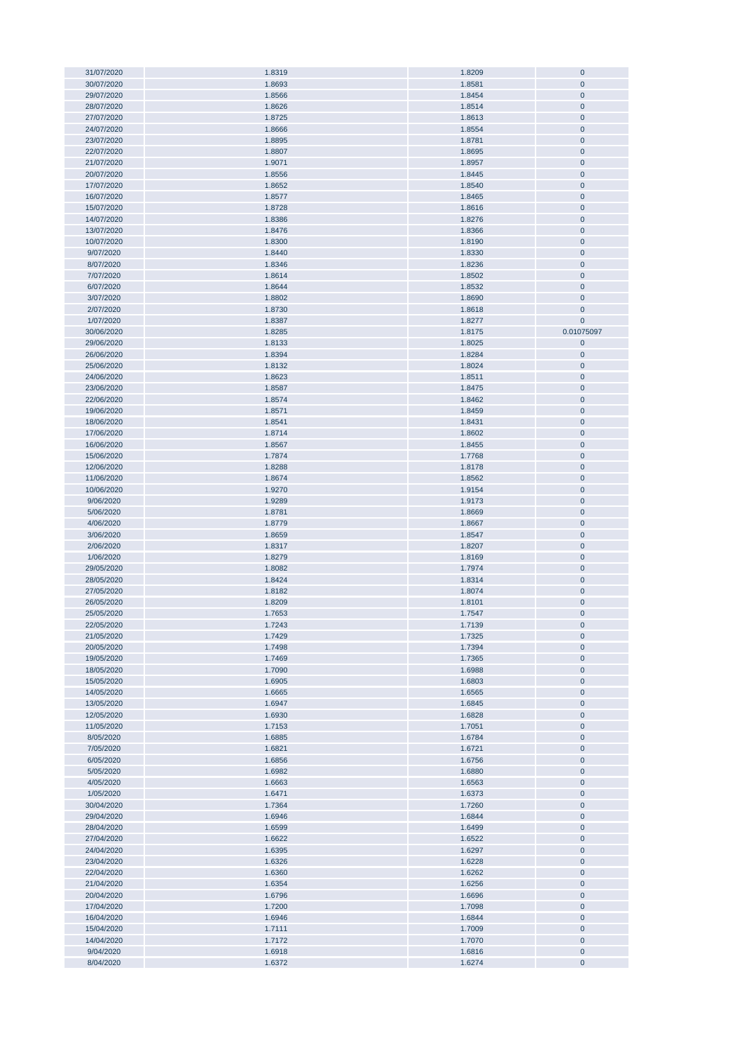| 31/07/2020 | 1.8319 | 1.8209 | $\mathbf 0$    |
|------------|--------|--------|----------------|
|            |        |        |                |
| 30/07/2020 | 1.8693 | 1.8581 | $\overline{0}$ |
| 29/07/2020 | 1.8566 | 1.8454 | $\mathbf 0$    |
|            |        |        |                |
| 28/07/2020 | 1.8626 | 1.8514 | $\pmb{0}$      |
| 27/07/2020 | 1.8725 | 1.8613 | $\pmb{0}$      |
| 24/07/2020 | 1.8666 | 1.8554 | $\pmb{0}$      |
| 23/07/2020 | 1.8895 | 1.8781 | $\pmb{0}$      |
|            |        |        |                |
| 22/07/2020 | 1.8807 | 1.8695 | $\pmb{0}$      |
| 21/07/2020 | 1.9071 | 1.8957 | $\pmb{0}$      |
|            |        |        |                |
| 20/07/2020 | 1.8556 | 1.8445 | $\pmb{0}$      |
| 17/07/2020 | 1.8652 | 1.8540 | $\pmb{0}$      |
| 16/07/2020 | 1.8577 | 1.8465 | $\pmb{0}$      |
|            |        |        |                |
| 15/07/2020 | 1.8728 | 1.8616 | $\pmb{0}$      |
| 14/07/2020 | 1.8386 | 1.8276 | $\pmb{0}$      |
| 13/07/2020 | 1.8476 | 1.8366 | $\pmb{0}$      |
|            |        |        |                |
| 10/07/2020 | 1.8300 | 1.8190 | $\pmb{0}$      |
| 9/07/2020  | 1.8440 | 1.8330 | $\pmb{0}$      |
| 8/07/2020  | 1.8346 | 1.8236 | $\pmb{0}$      |
|            |        |        |                |
| 7/07/2020  | 1.8614 | 1.8502 | $\pmb{0}$      |
| 6/07/2020  | 1.8644 | 1.8532 | $\bf{0}$       |
| 3/07/2020  | 1.8802 | 1.8690 | $\mathbf{0}$   |
|            |        |        |                |
| 2/07/2020  | 1.8730 | 1.8618 | $\pmb{0}$      |
| 1/07/2020  | 1.8387 | 1.8277 | $\mathbf 0$    |
| 30/06/2020 | 1.8285 | 1.8175 | 0.01075097     |
|            |        |        |                |
| 29/06/2020 | 1.8133 | 1.8025 | $\pmb{0}$      |
| 26/06/2020 | 1.8394 | 1.8284 | $\overline{0}$ |
|            |        |        |                |
| 25/06/2020 | 1.8132 | 1.8024 | $\pmb{0}$      |
| 24/06/2020 | 1.8623 | 1.8511 | $\pmb{0}$      |
| 23/06/2020 | 1.8587 | 1.8475 | $\pmb{0}$      |
|            |        |        |                |
| 22/06/2020 | 1.8574 | 1.8462 | $\pmb{0}$      |
| 19/06/2020 | 1.8571 | 1.8459 | $\pmb{0}$      |
| 18/06/2020 | 1.8541 | 1.8431 | $\pmb{0}$      |
|            |        |        |                |
| 17/06/2020 | 1.8714 | 1.8602 | $\pmb{0}$      |
| 16/06/2020 | 1.8567 | 1.8455 | $\pmb{0}$      |
| 15/06/2020 | 1.7874 | 1.7768 | $\pmb{0}$      |
|            |        |        |                |
| 12/06/2020 | 1.8288 | 1.8178 | $\pmb{0}$      |
| 11/06/2020 | 1.8674 | 1.8562 | $\pmb{0}$      |
| 10/06/2020 | 1.9270 | 1.9154 | $\pmb{0}$      |
|            |        |        |                |
| 9/06/2020  | 1.9289 | 1.9173 | $\pmb{0}$      |
| 5/06/2020  | 1.8781 | 1.8669 | $\pmb{0}$      |
| 4/06/2020  | 1.8779 | 1.8667 | $\pmb{0}$      |
|            |        |        |                |
| 3/06/2020  | 1.8659 | 1.8547 | $\pmb{0}$      |
| 2/06/2020  | 1.8317 | 1.8207 | $\pmb{0}$      |
| 1/06/2020  | 1.8279 | 1.8169 | $\pmb{0}$      |
|            |        |        |                |
| 29/05/2020 | 1.8082 | 1.7974 | $\overline{0}$ |
| 28/05/2020 | 1.8424 | 1.8314 | $\pmb{0}$      |
| 27/05/2020 | 1.8182 | 1.8074 | $\pmb{0}$      |
|            |        |        |                |
| 26/05/2020 | 1.8209 | 1.8101 | $\pmb{0}$      |
| 25/05/2020 | 1.7653 | 1.7547 | $\mathbf 0$    |
| 22/05/2020 | 1.7243 | 1.7139 | $\mathbf 0$    |
|            |        |        |                |
| 21/05/2020 | 1.7429 | 1.7325 | $\pmb{0}$      |
| 20/05/2020 | 1.7498 | 1.7394 | $\pmb{0}$      |
| 19/05/2020 | 1.7469 | 1.7365 | $\pmb{0}$      |
|            |        |        |                |
| 18/05/2020 | 1.7090 | 1.6988 | $\pmb{0}$      |
| 15/05/2020 | 1.6905 | 1.6803 | $\pmb{0}$      |
| 14/05/2020 | 1.6665 | 1.6565 | $\pmb{0}$      |
|            |        |        |                |
| 13/05/2020 | 1.6947 | 1.6845 | $\pmb{0}$      |
| 12/05/2020 | 1.6930 | 1.6828 | $\pmb{0}$      |
| 11/05/2020 | 1.7153 | 1.7051 | $\pmb{0}$      |
|            |        |        |                |
| 8/05/2020  | 1.6885 | 1.6784 | $\pmb{0}$      |
| 7/05/2020  | 1.6821 | 1.6721 | $\pmb{0}$      |
| 6/05/2020  | 1.6856 | 1.6756 | $\pmb{0}$      |
| 5/05/2020  | 1.6982 | 1.6880 | $\pmb{0}$      |
|            |        |        |                |
| 4/05/2020  | 1.6663 | 1.6563 | $\pmb{0}$      |
| 1/05/2020  | 1.6471 | 1.6373 | $\pmb{0}$      |
| 30/04/2020 | 1.7364 | 1.7260 | $\pmb{0}$      |
|            |        |        |                |
| 29/04/2020 | 1.6946 | 1.6844 | $\pmb{0}$      |
| 28/04/2020 | 1.6599 | 1.6499 | $\pmb{0}$      |
| 27/04/2020 | 1.6622 | 1.6522 | $\bf{0}$       |
|            |        |        |                |
| 24/04/2020 | 1.6395 | 1.6297 | $\bf{0}$       |
| 23/04/2020 | 1.6326 | 1.6228 | $\bf{0}$       |
|            |        |        |                |
| 22/04/2020 | 1.6360 | 1.6262 | $\pmb{0}$      |
| 21/04/2020 | 1.6354 | 1.6256 | $\pmb{0}$      |
| 20/04/2020 | 1.6796 | 1.6696 | $\pmb{0}$      |
|            |        |        |                |
| 17/04/2020 | 1.7200 | 1.7098 | $\pmb{0}$      |
| 16/04/2020 | 1.6946 | 1.6844 | $\pmb{0}$      |
| 15/04/2020 | 1.7111 | 1.7009 | $\pmb{0}$      |
| 14/04/2020 | 1.7172 | 1.7070 | $\pmb{0}$      |
|            |        |        |                |
| 9/04/2020  | 1.6918 | 1.6816 | $\pmb{0}$      |
| 8/04/2020  | 1.6372 | 1.6274 | $\pmb{0}$      |
|            |        |        |                |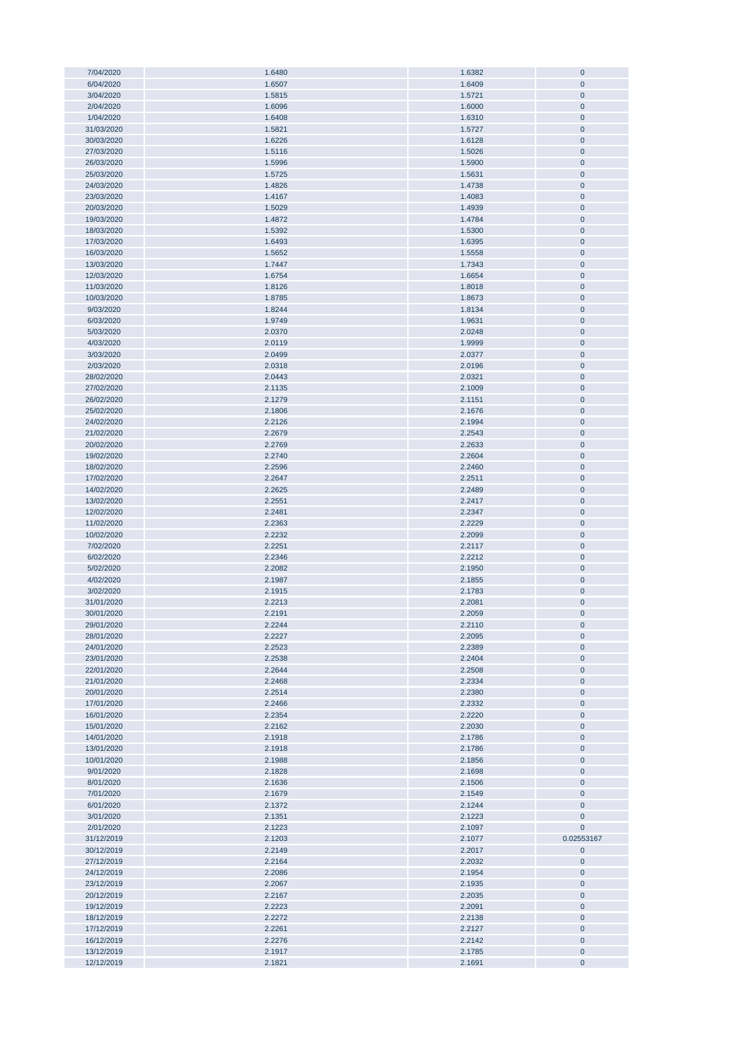| 7/04/2020                |                  | 1.6382           | $\mathbf 0$           |
|--------------------------|------------------|------------------|-----------------------|
|                          | 1.6480           |                  |                       |
| 6/04/2020                | 1.6507           | 1.6409           | $\mathbf{0}$          |
| 3/04/2020                | 1.5815           | 1.5721           | $\pmb{0}$             |
|                          |                  |                  |                       |
| 2/04/2020                | 1.6096           | 1.6000           | $\pmb{0}$             |
| 1/04/2020                | 1.6408           | 1.6310           | $\pmb{0}$             |
|                          |                  |                  |                       |
| 31/03/2020               | 1.5821           | 1.5727           | $\pmb{0}$             |
| 30/03/2020               | 1.6226           | 1.6128           | $\pmb{0}$             |
|                          |                  |                  |                       |
| 27/03/2020               | 1.5116           | 1.5026           | $\pmb{0}$             |
| 26/03/2020               | 1.5996           | 1.5900           | $\pmb{0}$             |
|                          |                  |                  |                       |
| 25/03/2020               | 1.5725           | 1.5631           | $\pmb{0}$             |
| 24/03/2020               | 1.4826           | 1.4738           | $\pmb{0}$             |
|                          |                  |                  |                       |
| 23/03/2020               | 1.4167           | 1.4083           | $\pmb{0}$             |
|                          |                  |                  |                       |
| 20/03/2020               | 1.5029           | 1.4939           | $\pmb{0}$             |
| 19/03/2020               | 1.4872           | 1.4784           | $\pmb{0}$             |
|                          |                  |                  |                       |
| 18/03/2020               | 1.5392           | 1.5300           | $\pmb{0}$             |
| 17/03/2020               | 1.6493           | 1.6395           | $\bf{0}$              |
|                          |                  |                  |                       |
| 16/03/2020               | 1.5652           | 1.5558           | $\pmb{0}$             |
| 13/03/2020               | 1.7447           | 1.7343           | $\pmb{0}$             |
|                          |                  |                  |                       |
| 12/03/2020               | 1.6754           | 1.6654           | $\pmb{0}$             |
| 11/03/2020               | 1.8126           | 1.8018           | $\pmb{0}$             |
|                          |                  |                  |                       |
| 10/03/2020               | 1.8785           | 1.8673           | $\pmb{0}$             |
| 9/03/2020                | 1.8244           | 1.8134           | $\pmb{0}$             |
| 6/03/2020                | 1.9749           | 1.9631           | $\mathbf{0}$          |
|                          |                  |                  |                       |
| 5/03/2020                | 2.0370           | 2.0248           | $\mathbf{0}$          |
| 4/03/2020                | 2.0119           | 1.9999           | $\pmb{0}$             |
|                          |                  |                  |                       |
| 3/03/2020                | 2.0499           | 2.0377           | $\pmb{0}$             |
| 2/03/2020                | 2.0318           | 2.0196           | $\pmb{0}$             |
|                          |                  |                  |                       |
| 28/02/2020               | 2.0443           | 2.0321           | $\pmb{0}$             |
| 27/02/2020               | 2.1135           | 2.1009           | $\overline{0}$        |
|                          |                  |                  |                       |
| 26/02/2020               | 2.1279           | 2.1151           | $\pmb{0}$             |
| 25/02/2020               | 2.1806           | 2.1676           | $\pmb{0}$             |
|                          |                  |                  |                       |
| 24/02/2020               | 2.2126           | 2.1994           | $\pmb{0}$             |
| 21/02/2020               | 2.2679           | 2.2543           | $\pmb{0}$             |
|                          |                  |                  |                       |
| 20/02/2020               | 2.2769           | 2.2633           | $\pmb{0}$             |
| 19/02/2020               | 2.2740           | 2.2604           | $\pmb{0}$             |
|                          |                  |                  |                       |
| 18/02/2020               | 2.2596           | 2.2460           | $\pmb{0}$             |
| 17/02/2020               | 2.2647           | 2.2511           | $\pmb{0}$             |
|                          |                  |                  |                       |
| 14/02/2020               | 2.2625           | 2.2489           | $\pmb{0}$             |
| 13/02/2020               | 2.2551           | 2.2417           | $\pmb{0}$             |
|                          |                  |                  |                       |
| 12/02/2020               | 2.2481           | 2.2347           | $\pmb{0}$             |
| 11/02/2020               | 2.2363           | 2.2229           | $\pmb{0}$             |
|                          |                  |                  |                       |
| 10/02/2020               | 2.2232           | 2.2099           | $\pmb{0}$             |
|                          |                  |                  |                       |
|                          |                  |                  |                       |
| 7/02/2020                | 2.2251           | 2.2117           | $\pmb{0}$             |
| 6/02/2020                | 2.2346           | 2.2212           | $\pmb{0}$             |
|                          |                  |                  |                       |
| 5/02/2020                | 2.2082           | 2.1950           | $\pmb{0}$             |
| 4/02/2020                | 2.1987           | 2.1855           | $\pmb{0}$             |
|                          |                  |                  |                       |
| 3/02/2020                | 2.1915           | 2.1783           | $\pmb{0}$             |
| 31/01/2020               | 2.2213           | 2.2081           | $\mathbf{0}$          |
|                          |                  |                  |                       |
| 30/01/2020               | 2.2191           | 2.2059           | $\mathbf 0$           |
| 29/01/2020               | 2.2244           | 2.2110           | $\mathbf{0}$          |
|                          |                  |                  |                       |
| 28/01/2020               | 2.2227           | 2.2095           | $\pmb{0}$             |
| 24/01/2020               | 2.2523           | 2.2389           | $\bf{0}$              |
| 23/01/2020               |                  |                  |                       |
|                          | 2.2538           | 2.2404           | $\pmb{0}$             |
| 22/01/2020               | 2.2644           | 2.2508           | $\bf{0}$              |
| 21/01/2020               | 2.2468           | 2.2334           | $\pmb{0}$             |
|                          |                  |                  |                       |
| 20/01/2020               | 2.2514           | 2.2380           | $\bf{0}$              |
| 17/01/2020               | 2.2466           | 2.2332           | $\pmb{0}$             |
|                          |                  |                  |                       |
| 16/01/2020               | 2.2354           | 2.2220           | $\pmb{0}$             |
| 15/01/2020               | 2.2162           | 2.2030           | $\pmb{0}$             |
| 14/01/2020               | 2.1918           |                  | $\pmb{0}$             |
|                          |                  | 2.1786           |                       |
| 13/01/2020               | 2.1918           | 2.1786           | $\pmb{0}$             |
| 10/01/2020               | 2.1988           | 2.1856           | $\bf{0}$              |
|                          |                  |                  |                       |
| 9/01/2020                | 2.1828           | 2.1698           | $\pmb{0}$             |
| 8/01/2020                | 2.1636           | 2.1506           | $\bf{0}$              |
|                          |                  |                  |                       |
| 7/01/2020                | 2.1679           | 2.1549           | $\pmb{0}$             |
| 6/01/2020                | 2.1372           | 2.1244           | $\pmb{0}$             |
|                          |                  |                  |                       |
| 3/01/2020                | 2.1351           | 2.1223           | $\pmb{0}$             |
| 2/01/2020                | 2.1223           | 2.1097           | 0                     |
|                          |                  |                  |                       |
| 31/12/2019               | 2.1203           | 2.1077           | 0.02553167            |
| 30/12/2019               | 2.2149           | 2.2017           | 0                     |
|                          |                  |                  |                       |
| 27/12/2019               | 2.2164           | 2.2032           | $\mathbf 0$           |
| 24/12/2019               | 2.2086           | 2.1954           | $\pmb{0}$             |
|                          |                  |                  |                       |
| 23/12/2019               | 2.2067           | 2.1935           | $\pmb{0}$             |
| 20/12/2019               | 2.2167           | 2.2035           | 0                     |
|                          |                  |                  |                       |
| 19/12/2019               | 2.2223           | 2.2091           | $\pmb{0}$             |
| 18/12/2019               | 2.2272           | 2.2138           | $\bf{0}$              |
|                          |                  |                  |                       |
| 17/12/2019               | 2.2261           | 2.2127           | $\pmb{0}$             |
| 16/12/2019               | 2.2276           | 2.2142           | $\pmb{0}$             |
|                          |                  |                  |                       |
| 13/12/2019<br>12/12/2019 | 2.1917<br>2.1821 | 2.1785<br>2.1691 | $\bf{0}$<br>$\pmb{0}$ |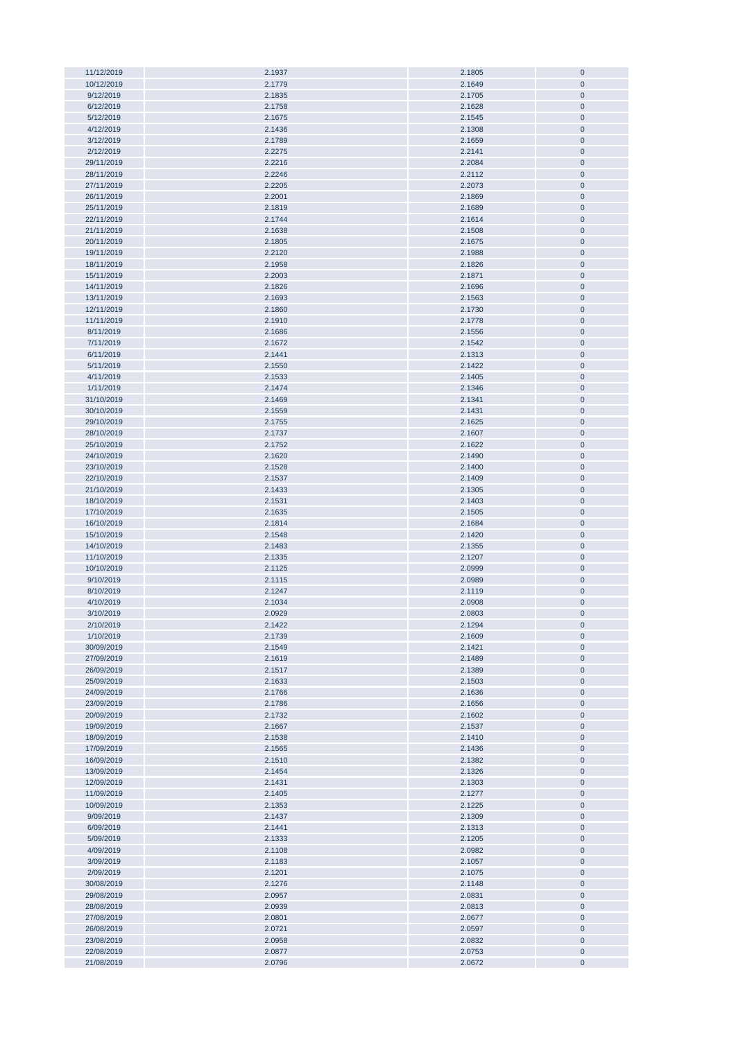| 11/12/2019<br>10/12/2019 |                  |                  |                        |
|--------------------------|------------------|------------------|------------------------|
|                          | 2.1937           | 2.1805           | $\pmb{0}$              |
|                          | 2.1779           | 2.1649           | $\pmb{0}$              |
| 9/12/2019                | 2.1835           | 2.1705           | $\pmb{0}$              |
| 6/12/2019                |                  |                  |                        |
|                          | 2.1758           | 2.1628           | $\pmb{0}$              |
| 5/12/2019                | 2.1675           | 2.1545           | $\pmb{0}$              |
| 4/12/2019                | 2.1436           | 2.1308           | $\pmb{0}$              |
| 3/12/2019                | 2.1789           | 2.1659           | $\pmb{0}$              |
|                          |                  |                  |                        |
| 2/12/2019                | 2.2275           | 2.2141           | $\pmb{0}$              |
| 29/11/2019               | 2.2216           | 2.2084           | $\pmb{0}$              |
| 28/11/2019               | 2.2246           | 2.2112           | $\pmb{0}$              |
|                          |                  |                  |                        |
| 27/11/2019               | 2.2205           | 2.2073           | $\pmb{0}$              |
| 26/11/2019               | 2.2001           | 2.1869           | $\pmb{0}$              |
| 25/11/2019               | 2.1819           | 2.1689           | $\pmb{0}$              |
|                          |                  |                  |                        |
| 22/11/2019               | 2.1744           | 2.1614           | $\pmb{0}$              |
| 21/11/2019               | 2.1638           | 2.1508           | $\pmb{0}$              |
| 20/11/2019               | 2.1805           | 2.1675           | $\pmb{0}$              |
|                          |                  |                  |                        |
| 19/11/2019               | 2.2120           | 2.1988           | $\pmb{0}$              |
| 18/11/2019               | 2.1958           | 2.1826           | $\pmb{0}$              |
| 15/11/2019               | 2.2003           | 2.1871           | $\pmb{0}$              |
|                          |                  |                  |                        |
| 14/11/2019               | 2.1826           | 2.1696           | $\pmb{0}$              |
| 13/11/2019               | 2.1693           | 2.1563           | $\pmb{0}$              |
| 12/11/2019               | 2.1860           | 2.1730           | $\pmb{0}$              |
|                          |                  |                  |                        |
| 11/11/2019               | 2.1910           | 2.1778           | $\pmb{0}$              |
| 8/11/2019                | 2.1686           | 2.1556           | $\pmb{0}$              |
| 7/11/2019                | 2.1672           | 2.1542           | $\pmb{0}$              |
|                          |                  |                  |                        |
| 6/11/2019                | 2.1441           | 2.1313           | $\pmb{0}$              |
| 5/11/2019                | 2.1550           | 2.1422           | $\pmb{0}$              |
| 4/11/2019                | 2.1533           | 2.1405           | $\pmb{0}$              |
|                          |                  |                  |                        |
| 1/11/2019                | 2.1474           | 2.1346           | $\pmb{0}$              |
| 31/10/2019               | 2.1469           | 2.1341           | $\pmb{0}$              |
| 30/10/2019               | 2.1559           | 2.1431           | $\pmb{0}$              |
|                          |                  |                  |                        |
| 29/10/2019               | 2.1755           | 2.1625           | $\pmb{0}$              |
| 28/10/2019               | 2.1737           | 2.1607           | $\pmb{0}$              |
| 25/10/2019               | 2.1752           | 2.1622           | $\pmb{0}$              |
|                          |                  |                  |                        |
| 24/10/2019               | 2.1620           | 2.1490           | $\pmb{0}$              |
| 23/10/2019               | 2.1528           | 2.1400           | $\pmb{0}$              |
| 22/10/2019               | 2.1537           | 2.1409           | $\pmb{0}$              |
| 21/10/2019               | 2.1433           |                  | $\pmb{0}$              |
|                          |                  | 2.1305           |                        |
| 18/10/2019               | 2.1531           | 2.1403           | $\pmb{0}$              |
| 17/10/2019               | 2.1635           | 2.1505           | $\pmb{0}$              |
| 16/10/2019               | 2.1814           | 2.1684           | $\pmb{0}$              |
|                          |                  |                  |                        |
| 15/10/2019               | 2.1548           | 2.1420           | $\bf{0}$               |
|                          |                  |                  |                        |
|                          |                  |                  |                        |
| 14/10/2019               | 2.1483           | 2.1355           | $\pmb{0}$              |
| 11/10/2019               | 2.1335           | 2.1207           | $\pmb{0}$              |
| 10/10/2019               | 2.1125           | 2.0999           | $\pmb{0}$              |
| 9/10/2019                | 2.1115           | 2.0989           | $\pmb{0}$              |
|                          |                  |                  |                        |
| 8/10/2019                | 2.1247           | 2.1119           | $\pmb{0}$              |
| 4/10/2019                | 2.1034           | 2.0908           | $\pmb{0}$              |
| 3/10/2019                | 2.0929           | 2.0803           | $\mathbf 0$            |
|                          |                  |                  |                        |
| 2/10/2019                | 2.1422           | 2.1294           | $\bf{0}$               |
| 1/10/2019                | 2.1739           | 2.1609           | $\pmb{0}$              |
| 30/09/2019               | 2.1549           | 2.1421           | $\pmb{0}$              |
| 27/09/2019               |                  |                  | $\pmb{0}$              |
|                          | 2.1619           | 2.1489           |                        |
| 26/09/2019               | 2.1517           | 2.1389           | $\pmb{0}$              |
| 25/09/2019               | 2.1633           | 2.1503           | $\pmb{0}$              |
| 24/09/2019               | 2.1766           | 2.1636           | $\pmb{0}$              |
|                          |                  |                  |                        |
| 23/09/2019               | 2.1786           | 2.1656           | $\pmb{0}$              |
| 20/09/2019               | 2.1732           | 2.1602           | $\pmb{0}$              |
| 19/09/2019               | 2.1667           | 2.1537           | $\pmb{0}$              |
| 18/09/2019               |                  |                  | $\pmb{0}$              |
|                          | 2.1538           | 2.1410           |                        |
| 17/09/2019               | 2.1565           | 2.1436           | $\pmb{0}$              |
| 16/09/2019               | 2.1510           | 2.1382           | $\pmb{0}$              |
| 13/09/2019               | 2.1454           | 2.1326           | $\pmb{0}$              |
|                          |                  |                  |                        |
| 12/09/2019               | 2.1431           | 2.1303           | $\pmb{0}$              |
| 11/09/2019               | 2.1405           | 2.1277           | $\pmb{0}$              |
| 10/09/2019               | 2.1353           | 2.1225           | $\pmb{0}$              |
| 9/09/2019                | 2.1437           | 2.1309           | $\pmb{0}$              |
|                          |                  |                  |                        |
| 6/09/2019                | 2.1441           | 2.1313           | $\pmb{0}$              |
| 5/09/2019                | 2.1333           | 2.1205           | $\pmb{0}$              |
| 4/09/2019                | 2.1108           | 2.0982           | $\pmb{0}$              |
|                          |                  |                  |                        |
| 3/09/2019                | 2.1183           | 2.1057           | $\pmb{0}$              |
| 2/09/2019                | 2.1201           | 2.1075           | $\pmb{0}$              |
| 30/08/2019               | 2.1276           | 2.1148           | $\pmb{0}$              |
|                          | 2.0957           |                  | $\pmb{0}$              |
| 29/08/2019               |                  | 2.0831           |                        |
| 28/08/2019               | 2.0939           | 2.0813           | $\pmb{0}$              |
| 27/08/2019               | 2.0801           | 2.0677           | $\pmb{0}$              |
| 26/08/2019               | 2.0721           | 2.0597           | $\pmb{0}$              |
|                          |                  |                  |                        |
| 23/08/2019               | 2.0958           | 2.0832           | $\pmb{0}$              |
| 22/08/2019<br>21/08/2019 | 2.0877<br>2.0796 | 2.0753<br>2.0672 | $\pmb{0}$<br>$\pmb{0}$ |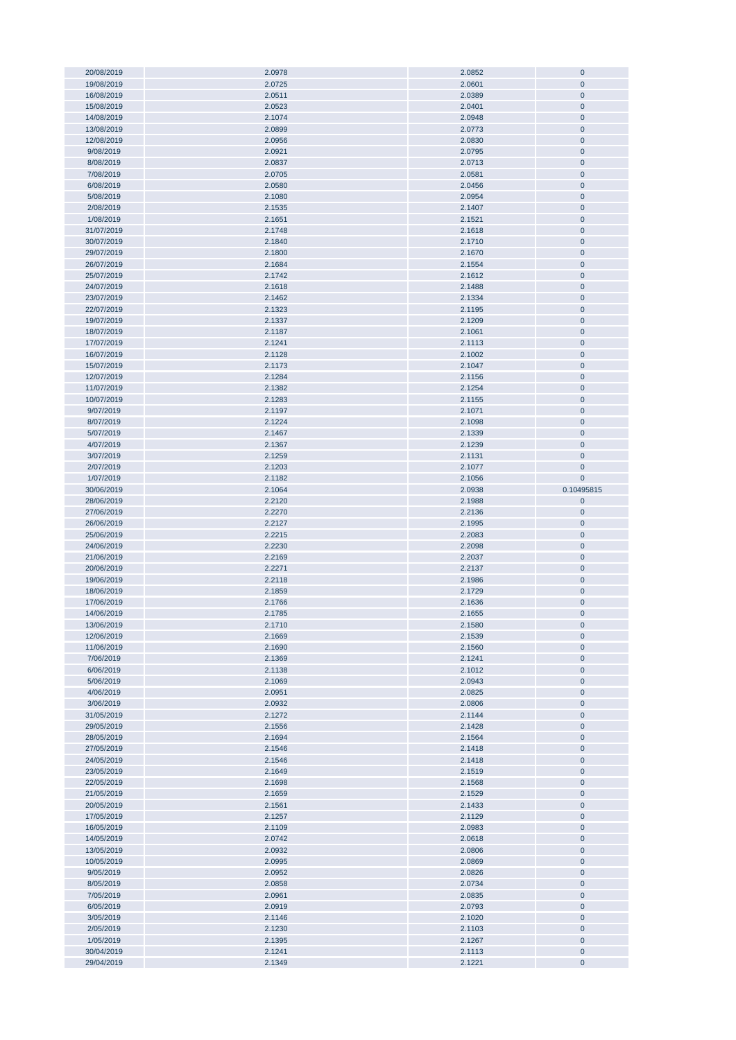| 20/08/2019 | 2.0978 | 2.0852 | $\bf{0}$    |
|------------|--------|--------|-------------|
|            |        |        | $\pmb{0}$   |
| 19/08/2019 | 2.0725 | 2.0601 |             |
| 16/08/2019 | 2.0511 | 2.0389 | $\pmb{0}$   |
| 15/08/2019 | 2.0523 | 2.0401 | $\pmb{0}$   |
|            |        |        |             |
| 14/08/2019 | 2.1074 | 2.0948 | $\pmb{0}$   |
| 13/08/2019 | 2.0899 | 2.0773 | $\pmb{0}$   |
| 12/08/2019 | 2.0956 | 2.0830 | $\pmb{0}$   |
|            |        |        |             |
| 9/08/2019  | 2.0921 | 2.0795 | $\pmb{0}$   |
| 8/08/2019  | 2.0837 | 2.0713 | $\mathbf 0$ |
| 7/08/2019  | 2.0705 |        |             |
|            |        | 2.0581 | $\mathbf 0$ |
| 6/08/2019  | 2.0580 | 2.0456 | $\mathbf 0$ |
| 5/08/2019  | 2.1080 | 2.0954 | $\pmb{0}$   |
|            |        |        |             |
| 2/08/2019  | 2.1535 | 2.1407 | $\pmb{0}$   |
| 1/08/2019  | 2.1651 | 2.1521 | $\bf{0}$    |
| 31/07/2019 | 2.1748 | 2.1618 | $\pmb{0}$   |
|            |        |        |             |
| 30/07/2019 | 2.1840 | 2.1710 | $\pmb{0}$   |
| 29/07/2019 | 2.1800 | 2.1670 | $\pmb{0}$   |
|            |        |        |             |
| 26/07/2019 | 2.1684 | 2.1554 | $\pmb{0}$   |
| 25/07/2019 | 2.1742 | 2.1612 | $\pmb{0}$   |
| 24/07/2019 | 2.1618 | 2.1488 | $\pmb{0}$   |
|            |        |        |             |
| 23/07/2019 | 2.1462 | 2.1334 | $\mathbf 0$ |
| 22/07/2019 | 2.1323 | 2.1195 | $\pmb{0}$   |
| 19/07/2019 | 2.1337 | 2.1209 | $\pmb{0}$   |
|            |        |        |             |
| 18/07/2019 | 2.1187 | 2.1061 | $\pmb{0}$   |
| 17/07/2019 | 2.1241 | 2.1113 | $\pmb{0}$   |
|            |        |        |             |
| 16/07/2019 | 2.1128 | 2.1002 | $\pmb{0}$   |
| 15/07/2019 | 2.1173 | 2.1047 | $\pmb{0}$   |
| 12/07/2019 | 2.1284 | 2.1156 | $\pmb{0}$   |
|            |        |        |             |
| 11/07/2019 | 2.1382 | 2.1254 | $\pmb{0}$   |
| 10/07/2019 | 2.1283 | 2.1155 | $\pmb{0}$   |
|            |        |        |             |
| 9/07/2019  | 2.1197 | 2.1071 | $\pmb{0}$   |
| 8/07/2019  | 2.1224 | 2.1098 | $\pmb{0}$   |
| 5/07/2019  | 2.1467 | 2.1339 | $\mathbf 0$ |
|            |        |        |             |
| 4/07/2019  | 2.1367 | 2.1239 | $\pmb{0}$   |
| 3/07/2019  | 2.1259 | 2.1131 | $\mathbf 0$ |
| 2/07/2019  | 2.1203 | 2.1077 | $\pmb{0}$   |
|            |        |        |             |
| 1/07/2019  | 2.1182 | 2.1056 | $\pmb{0}$   |
| 30/06/2019 | 2.1064 | 2.0938 | 0.10495815  |
|            | 2.2120 | 2.1988 | $\pmb{0}$   |
| 28/06/2019 |        |        |             |
|            |        |        |             |
| 27/06/2019 | 2.2270 | 2.2136 | $\pmb{0}$   |
|            |        |        |             |
| 26/06/2019 | 2.2127 | 2.1995 | $\pmb{0}$   |
| 25/06/2019 | 2.2215 | 2.2083 | $\pmb{0}$   |
| 24/06/2019 | 2.2230 | 2.2098 | $\pmb{0}$   |
|            |        |        |             |
| 21/06/2019 | 2.2169 | 2.2037 | $\pmb{0}$   |
| 20/06/2019 | 2.2271 | 2.2137 | $\pmb{0}$   |
| 19/06/2019 | 2.2118 | 2.1986 | $\pmb{0}$   |
|            |        |        |             |
| 18/06/2019 | 2.1859 | 2.1729 | $\pmb{0}$   |
| 17/06/2019 | 2.1766 | 2.1636 | $\pmb{0}$   |
| 14/06/2019 |        | 2.1655 | $\pmb{0}$   |
|            | 2.1785 |        |             |
| 13/06/2019 | 2.1710 | 2.1580 |             |
| 12/06/2019 | 2.1669 | 2.1539 | $\pmb{0}$   |
|            |        |        |             |
| 11/06/2019 | 2.1690 | 2.1560 | $\pmb{0}$   |
| 7/06/2019  | 2.1369 | 2.1241 | 0           |
| 6/06/2019  | 2.1138 | 2.1012 | $\pmb{0}$   |
|            |        |        |             |
| 5/06/2019  | 2.1069 | 2.0943 | 0           |
| 4/06/2019  | 2.0951 | 2.0825 | $\pmb{0}$   |
| 3/06/2019  | 2.0932 | 2.0806 | 0           |
|            |        |        |             |
| 31/05/2019 | 2.1272 | 2.1144 | $\pmb{0}$   |
| 29/05/2019 | 2.1556 | 2.1428 | 0           |
| 28/05/2019 | 2.1694 | 2.1564 | 0           |
|            |        |        |             |
| 27/05/2019 | 2.1546 | 2.1418 | 0           |
| 24/05/2019 | 2.1546 | 2.1418 | 0           |
| 23/05/2019 | 2.1649 | 2.1519 | $\pmb{0}$   |
|            |        |        |             |
| 22/05/2019 | 2.1698 | 2.1568 | $\pmb{0}$   |
| 21/05/2019 | 2.1659 | 2.1529 | $\pmb{0}$   |
| 20/05/2019 | 2.1561 | 2.1433 | $\pmb{0}$   |
|            |        |        |             |
| 17/05/2019 | 2.1257 | 2.1129 | $\pmb{0}$   |
| 16/05/2019 | 2.1109 | 2.0983 | $\pmb{0}$   |
| 14/05/2019 | 2.0742 | 2.0618 | $\pmb{0}$   |
|            |        |        |             |
| 13/05/2019 | 2.0932 | 2.0806 | 0           |
| 10/05/2019 | 2.0995 | 2.0869 | $\pmb{0}$   |
|            |        |        |             |
| 9/05/2019  | 2.0952 | 2.0826 | 0           |
| 8/05/2019  | 2.0858 | 2.0734 | $\pmb{0}$   |
| 7/05/2019  | 2.0961 | 2.0835 | 0           |
|            |        |        |             |
| 6/05/2019  | 2.0919 | 2.0793 | $\pmb{0}$   |
| 3/05/2019  | 2.1146 | 2.1020 | $\pmb{0}$   |
| 2/05/2019  | 2.1230 | 2.1103 | $\pmb{0}$   |
|            |        |        |             |
| 1/05/2019  | 2.1395 | 2.1267 | 0           |
| 30/04/2019 | 2.1241 | 2.1113 | $\pmb{0}$   |
| 29/04/2019 | 2.1349 | 2.1221 | $\pmb{0}$   |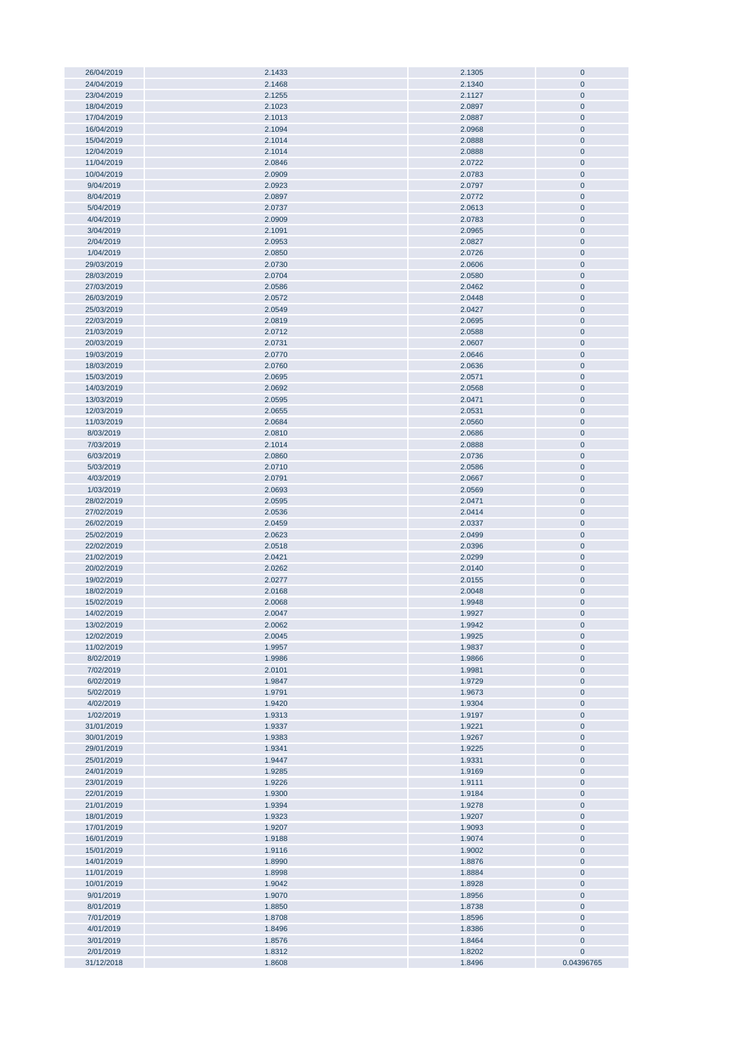| 26/04/2019              | 2.1433           | 2.1305           | $\pmb{0}$               |
|-------------------------|------------------|------------------|-------------------------|
| 24/04/2019              | 2.1468           | 2.1340           | $\pmb{0}$               |
|                         |                  |                  | $\mathbf 0$             |
| 23/04/2019              | 2.1255           | 2.1127           |                         |
| 18/04/2019              | 2.1023           | 2.0897           | $\pmb{0}$               |
| 17/04/2019              | 2.1013           | 2.0887           | $\pmb{0}$               |
|                         |                  |                  |                         |
| 16/04/2019              | 2.1094           | 2.0968           | $\pmb{0}$               |
| 15/04/2019              | 2.1014           | 2.0888           | $\pmb{0}$               |
| 12/04/2019              | 2.1014           | 2.0888           | $\pmb{0}$               |
|                         |                  |                  |                         |
| 11/04/2019              | 2.0846           | 2.0722           | $\pmb{0}$               |
| 10/04/2019              | 2.0909           | 2.0783           | $\pmb{0}$               |
| 9/04/2019               | 2.0923           | 2.0797           | $\pmb{0}$               |
| 8/04/2019               |                  |                  |                         |
|                         | 2.0897           | 2.0772           | $\pmb{0}$               |
| 5/04/2019               | 2.0737           | 2.0613           | $\pmb{0}$               |
| 4/04/2019               | 2.0909           | 2.0783           | $\pmb{0}$               |
|                         |                  | 2.0965           |                         |
| 3/04/2019               | 2.1091           |                  | $\pmb{0}$               |
| 2/04/2019               | 2.0953           | 2.0827           | $\pmb{0}$               |
| 1/04/2019               | 2.0850           | 2.0726           | $\pmb{0}$               |
| 29/03/2019              | 2.0730           | 2.0606           | $\pmb{0}$               |
|                         |                  |                  |                         |
| 28/03/2019              | 2.0704           | 2.0580           | $\pmb{0}$               |
| 27/03/2019              | 2.0586           | 2.0462           | $\pmb{0}$               |
| 26/03/2019              | 2.0572           | 2.0448           | $\pmb{0}$               |
|                         |                  |                  |                         |
| 25/03/2019              | 2.0549           | 2.0427           | $\pmb{0}$               |
| 22/03/2019              | 2.0819           | 2.0695           | $\pmb{0}$               |
| 21/03/2019              | 2.0712           | 2.0588           | $\pmb{0}$               |
|                         |                  |                  |                         |
| 20/03/2019              | 2.0731           | 2.0607           | $\pmb{0}$               |
| 19/03/2019              | 2.0770           | 2.0646           | $\pmb{0}$               |
| 18/03/2019              | 2.0760           | 2.0636           | $\pmb{0}$               |
|                         |                  |                  |                         |
| 15/03/2019              | 2.0695           | 2.0571           | $\pmb{0}$               |
| 14/03/2019              | 2.0692           | 2.0568           | $\pmb{0}$               |
| 13/03/2019              | 2.0595           | 2.0471           | $\pmb{0}$               |
|                         |                  |                  |                         |
| 12/03/2019              | 2.0655           | 2.0531           | $\pmb{0}$               |
| 11/03/2019              | 2.0684           | 2.0560           | $\pmb{0}$               |
| 8/03/2019               | 2.0810           | 2.0686           | $\pmb{0}$               |
|                         |                  |                  |                         |
| 7/03/2019               | 2.1014           | 2.0888           | $\pmb{0}$               |
| 6/03/2019               | 2.0860           | 2.0736           | $\pmb{0}$               |
| 5/03/2019               | 2.0710           | 2.0586           | $\pmb{0}$               |
|                         |                  |                  |                         |
| 4/03/2019               | 2.0791           | 2.0667           | $\pmb{0}$               |
| 1/03/2019               | 2.0693           | 2.0569           | $\pmb{0}$               |
| 28/02/2019              | 2.0595           | 2.0471           | $\pmb{0}$               |
| 27/02/2019              | 2.0536           | 2.0414           | $\pmb{0}$               |
|                         |                  |                  |                         |
| 26/02/2019              | 2.0459           | 2.0337           | $\pmb{0}$               |
| 25/02/2019              | 2.0623           | 2.0499           | $\bf{0}$                |
| 22/02/2019              | 2.0518           | 2.0396           | $\pmb{0}$               |
|                         |                  |                  |                         |
| 21/02/2019              | 2.0421           | 2.0299           | $\pmb{0}$               |
| 20/02/2019              | 2.0262           | 2.0140           | $\pmb{0}$               |
| 19/02/2019              | 2.0277           | 2.0155           | $\pmb{0}$               |
|                         |                  |                  |                         |
| 18/02/2019              | 2.0168           | 2.0048           | $\pmb{0}$               |
| 15/02/2019              | 2.0068           | 1.9948           | $\pmb{0}$               |
| 14/02/2019              | 2.0047           | 1.9927           | $\mathbf{0}$            |
|                         |                  |                  |                         |
| 13/02/2019              | 2.0062           | 1.9942           | $\bf{0}$                |
| 12/02/2019              | 2.0045           | 1.9925           | $\pmb{0}$               |
| 11/02/2019              | 1.9957           | 1.9837           | $\pmb{0}$               |
|                         |                  |                  |                         |
| 8/02/2019               | 1.9986           | 1.9866           | $\pmb{0}$               |
| 7/02/2019               | 2.0101           | 1.9981           | $\pmb{0}$               |
| 6/02/2019               | 1.9847           | 1.9729           | $\pmb{0}$               |
| 5/02/2019               | 1.9791           | 1.9673           | $\pmb{0}$               |
|                         |                  |                  |                         |
| 4/02/2019               | 1.9420           | 1.9304           | $\pmb{0}$               |
| 1/02/2019               | 1.9313           | 1.9197           | $\pmb{0}$               |
| 31/01/2019              | 1.9337           | 1.9221           | $\pmb{0}$               |
| 30/01/2019              |                  |                  |                         |
|                         | 1.9383           | 1.9267           | $\pmb{0}$               |
| 29/01/2019              | 1.9341           | 1.9225           | $\pmb{0}$               |
| 25/01/2019              | 1.9447           |                  |                         |
| 24/01/2019              |                  |                  |                         |
|                         |                  | 1.9331           | $\pmb{0}$               |
|                         | 1.9285           | 1.9169           | $\pmb{0}$               |
| 23/01/2019              | 1.9226           | 1.9111           | $\pmb{0}$               |
| 22/01/2019              | 1.9300           | 1.9184           | $\pmb{0}$               |
|                         |                  |                  |                         |
| 21/01/2019              | 1.9394           | 1.9278           | $\bf{0}$                |
| 18/01/2019              | 1.9323           | 1.9207           | $\bf{0}$                |
| 17/01/2019              | 1.9207           | 1.9093           | $\pmb{0}$               |
|                         |                  |                  |                         |
| 16/01/2019              | 1.9188           | 1.9074           | $\pmb{0}$               |
| 15/01/2019              | 1.9116           | 1.9002           | $\pmb{0}$               |
| 14/01/2019              | 1.8990           | 1.8876           | $\bf{0}$                |
|                         |                  |                  |                         |
| 11/01/2019              | 1.8998           | 1.8884           | $\pmb{0}$               |
| 10/01/2019              | 1.9042           | 1.8928           | $\pmb{0}$               |
| 9/01/2019               | 1.9070           | 1.8956           | $\pmb{0}$               |
|                         |                  |                  |                         |
| 8/01/2019               | 1.8850           | 1.8738           | $\pmb{0}$               |
| 7/01/2019               | 1.8708           | 1.8596           | $\pmb{0}$               |
| 4/01/2019               | 1.8496           | 1.8386           | $\pmb{0}$               |
| 3/01/2019               | 1.8576           | 1.8464           | $\pmb{0}$               |
|                         |                  |                  |                         |
| 2/01/2019<br>31/12/2018 | 1.8312<br>1.8608 | 1.8202<br>1.8496 | $\pmb{0}$<br>0.04396765 |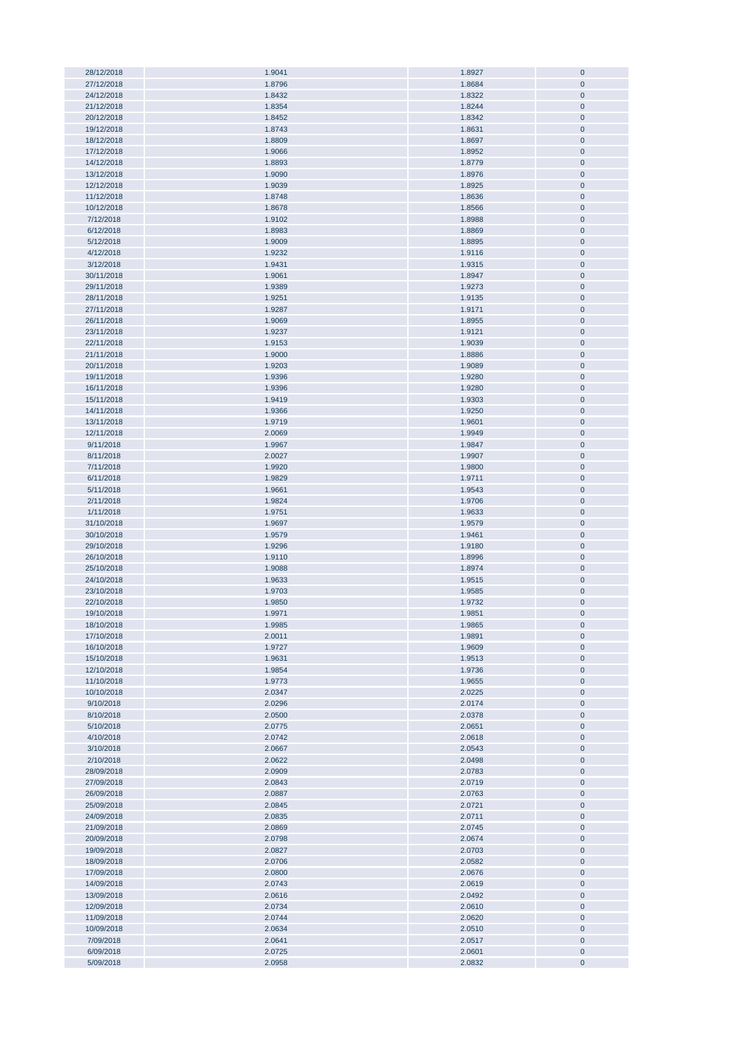| 28/12/2018 | 1.9041 | 1.8927 | $\bf{0}$     |
|------------|--------|--------|--------------|
|            |        |        |              |
| 27/12/2018 | 1.8796 | 1.8684 | $\pmb{0}$    |
| 24/12/2018 | 1.8432 | 1.8322 | $\pmb{0}$    |
| 21/12/2018 | 1.8354 | 1.8244 | $\pmb{0}$    |
|            |        |        |              |
| 20/12/2018 | 1.8452 | 1.8342 | $\pmb{0}$    |
| 19/12/2018 | 1.8743 | 1.8631 | $\pmb{0}$    |
| 18/12/2018 | 1.8809 | 1.8697 | $\pmb{0}$    |
|            |        |        |              |
| 17/12/2018 | 1.9066 | 1.8952 | $\pmb{0}$    |
| 14/12/2018 | 1.8893 | 1.8779 | $\pmb{0}$    |
| 13/12/2018 | 1.9090 | 1.8976 | $\pmb{0}$    |
|            |        |        |              |
| 12/12/2018 | 1.9039 | 1.8925 | $\pmb{0}$    |
| 11/12/2018 | 1.8748 | 1.8636 | $\pmb{0}$    |
| 10/12/2018 | 1.8678 | 1.8566 | $\pmb{0}$    |
|            |        |        |              |
| 7/12/2018  | 1.9102 | 1.8988 | $\pmb{0}$    |
| 6/12/2018  | 1.8983 | 1.8869 | $\pmb{0}$    |
| 5/12/2018  | 1.9009 | 1.8895 | $\pmb{0}$    |
|            |        |        |              |
| 4/12/2018  | 1.9232 | 1.9116 | $\pmb{0}$    |
| 3/12/2018  | 1.9431 | 1.9315 | $\pmb{0}$    |
| 30/11/2018 | 1.9061 | 1.8947 | $\pmb{0}$    |
|            |        |        |              |
| 29/11/2018 | 1.9389 | 1.9273 | $\pmb{0}$    |
| 28/11/2018 | 1.9251 | 1.9135 | $\bf{0}$     |
| 27/11/2018 | 1.9287 | 1.9171 | $\pmb{0}$    |
|            |        |        |              |
| 26/11/2018 | 1.9069 | 1.8955 | $\bf{0}$     |
| 23/11/2018 | 1.9237 | 1.9121 | $\pmb{0}$    |
| 22/11/2018 | 1.9153 | 1.9039 | $\pmb{0}$    |
| 21/11/2018 | 1.9000 | 1.8886 | $\pmb{0}$    |
|            |        |        |              |
| 20/11/2018 | 1.9203 | 1.9089 | $\pmb{0}$    |
| 19/11/2018 | 1.9396 | 1.9280 | $\pmb{0}$    |
| 16/11/2018 | 1.9396 | 1.9280 | $\pmb{0}$    |
|            |        |        |              |
| 15/11/2018 | 1.9419 | 1.9303 | $\pmb{0}$    |
| 14/11/2018 | 1.9366 | 1.9250 | $\pmb{0}$    |
| 13/11/2018 | 1.9719 | 1.9601 | $\pmb{0}$    |
|            |        |        |              |
| 12/11/2018 | 2.0069 | 1.9949 | $\pmb{0}$    |
| 9/11/2018  | 1.9967 | 1.9847 | $\pmb{0}$    |
| 8/11/2018  | 2.0027 | 1.9907 | $\pmb{0}$    |
|            |        |        |              |
| 7/11/2018  | 1.9920 | 1.9800 | $\pmb{0}$    |
| 6/11/2018  | 1.9829 | 1.9711 | $\pmb{0}$    |
| 5/11/2018  | 1.9661 | 1.9543 | $\pmb{0}$    |
|            |        |        |              |
| 2/11/2018  | 1.9824 | 1.9706 | $\pmb{0}$    |
| 1/11/2018  | 1.9751 | 1.9633 | $\pmb{0}$    |
| 31/10/2018 | 1.9697 | 1.9579 | $\pmb{0}$    |
|            |        |        |              |
| 30/10/2018 | 1.9579 | 1.9461 | $\pmb{0}$    |
| 29/10/2018 | 1.9296 | 1.9180 | $\pmb{0}$    |
| 26/10/2018 | 1.9110 | 1.8996 | $\pmb{0}$    |
| 25/10/2018 | 1.9088 | 1.8974 | $\bf{0}$     |
|            |        |        |              |
| 24/10/2018 | 1.9633 | 1.9515 | $\bf{0}$     |
| 23/10/2018 | 1.9703 | 1.9585 | $\pmb{0}$    |
| 22/10/2018 | 1.9850 | 1.9732 | $\pmb{0}$    |
|            |        |        |              |
| 19/10/2018 | 1.9971 | 1.9851 | $\mathbf{0}$ |
| 18/10/2018 | 1.9985 | 1.9865 | $\mathbf 0$  |
| 17/10/2018 | 2.0011 | 1.9891 | $\pmb{0}$    |
|            |        |        | $\pmb{0}$    |
| 16/10/2018 | 1.9727 | 1.9609 |              |
| 15/10/2018 | 1.9631 | 1.9513 | $\pmb{0}$    |
| 12/10/2018 | 1.9854 | 1.9736 | $\pmb{0}$    |
| 11/10/2018 | 1.9773 | 1.9655 | $\pmb{0}$    |
|            |        |        |              |
| 10/10/2018 | 2.0347 | 2.0225 | $\pmb{0}$    |
| 9/10/2018  | 2.0296 | 2.0174 | $\pmb{0}$    |
| 8/10/2018  | 2.0500 | 2.0378 | $\pmb{0}$    |
| 5/10/2018  | 2.0775 | 2.0651 | $\pmb{0}$    |
|            |        |        |              |
| 4/10/2018  | 2.0742 | 2.0618 | $\pmb{0}$    |
| 3/10/2018  | 2.0667 | 2.0543 | $\pmb{0}$    |
| 2/10/2018  | 2.0622 | 2.0498 | $\pmb{0}$    |
|            |        |        |              |
| 28/09/2018 | 2.0909 | 2.0783 | $\pmb{0}$    |
| 27/09/2018 | 2.0843 | 2.0719 | $\pmb{0}$    |
| 26/09/2018 | 2.0887 | 2.0763 | $\pmb{0}$    |
| 25/09/2018 | 2.0845 | 2.0721 | $\pmb{0}$    |
|            |        |        |              |
| 24/09/2018 | 2.0835 | 2.0711 | $\pmb{0}$    |
| 21/09/2018 | 2.0869 | 2.0745 | $\pmb{0}$    |
| 20/09/2018 | 2.0798 | 2.0674 | $\bf{0}$     |
|            |        |        |              |
| 19/09/2018 | 2.0827 | 2.0703 | $\pmb{0}$    |
| 18/09/2018 | 2.0706 | 2.0582 | $\bf{0}$     |
| 17/09/2018 | 2.0800 | 2.0676 | $\pmb{0}$    |
| 14/09/2018 | 2.0743 | 2.0619 | $\pmb{0}$    |
|            |        |        |              |
| 13/09/2018 | 2.0616 | 2.0492 | $\pmb{0}$    |
| 12/09/2018 | 2.0734 | 2.0610 | $\pmb{0}$    |
|            |        |        |              |
|            |        |        |              |
| 11/09/2018 | 2.0744 | 2.0620 | $\pmb{0}$    |
| 10/09/2018 | 2.0634 | 2.0510 | $\pmb{0}$    |
| 7/09/2018  | 2.0641 | 2.0517 | $\pmb{0}$    |
| 6/09/2018  | 2.0725 | 2.0601 | $\pmb{0}$    |
| 5/09/2018  | 2.0958 | 2.0832 | $\pmb{0}$    |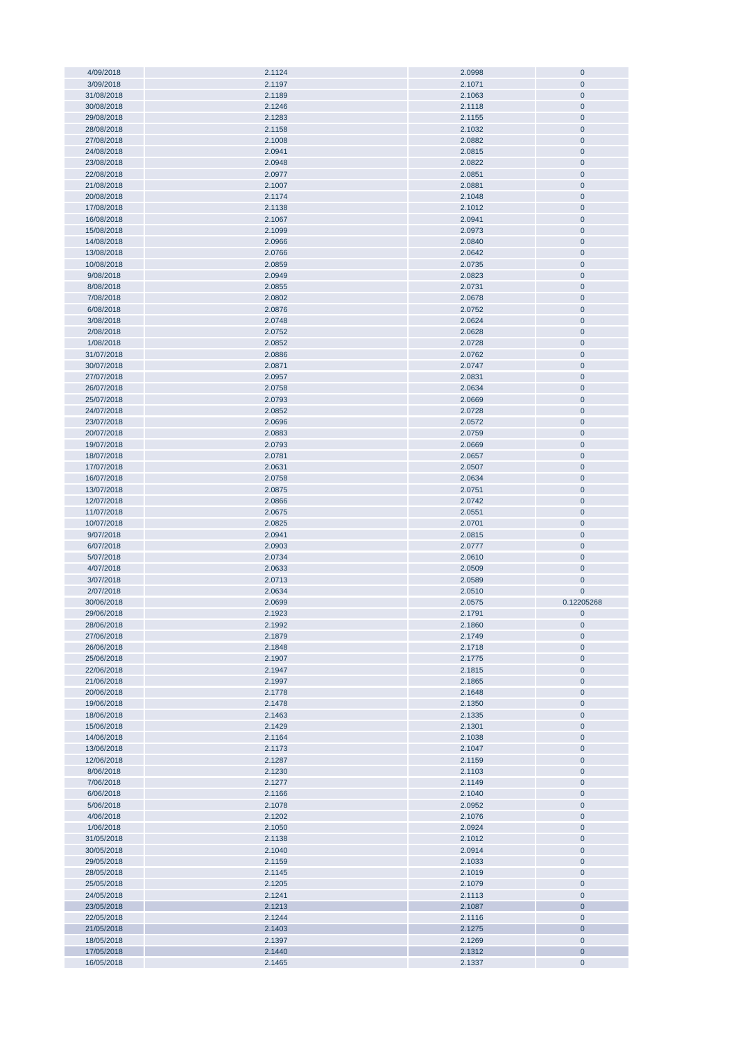| 4/09/2018                | 2.1124           | 2.0998           | $\mathbf 0$           |
|--------------------------|------------------|------------------|-----------------------|
| 3/09/2018                | 2.1197           | 2.1071           | $\mathbf 0$           |
| 31/08/2018               | 2.1189           | 2.1063           | $\mathbf{0}$          |
| 30/08/2018               | 2.1246           | 2.1118           | $\mathbf 0$           |
|                          |                  |                  |                       |
| 29/08/2018               | 2.1283           | 2.1155           | $\mathbf{0}$          |
| 28/08/2018               | 2.1158           | 2.1032           | $\pmb{0}$             |
| 27/08/2018               | 2.1008           | 2.0882           | $\pmb{0}$             |
|                          |                  |                  |                       |
| 24/08/2018               | 2.0941           | 2.0815           | $\pmb{0}$             |
| 23/08/2018               | 2.0948           | 2.0822           | $\pmb{0}$             |
| 22/08/2018               | 2.0977           | 2.0851           | $\pmb{0}$             |
| 21/08/2018               | 2.1007           | 2.0881           | $\pmb{0}$             |
|                          |                  |                  |                       |
| 20/08/2018               | 2.1174           | 2.1048           | $\pmb{0}$             |
| 17/08/2018               | 2.1138           | 2.1012           | $\pmb{0}$             |
| 16/08/2018               | 2.1067           | 2.0941           | $\pmb{0}$             |
|                          |                  |                  |                       |
| 15/08/2018               | 2.1099           | 2.0973           | $\mathbf 0$           |
| 14/08/2018               | 2.0966           | 2.0840           | $\mathbf{0}$          |
| 13/08/2018               | 2.0766           | 2.0642           | $\mathbf 0$           |
| 10/08/2018               | 2.0859           | 2.0735           | $\pmb{0}$             |
|                          |                  |                  |                       |
| 9/08/2018                | 2.0949           | 2.0823           | $\mathbf 0$           |
| 8/08/2018                | 2.0855           | 2.0731           | $\mathbf 0$           |
| 7/08/2018                | 2.0802           | 2.0678           | $\pmb{0}$             |
| 6/08/2018                | 2.0876           | 2.0752           | $\pmb{0}$             |
|                          |                  |                  |                       |
| 3/08/2018                | 2.0748           | 2.0624           | $\overline{0}$        |
| 2/08/2018                | 2.0752           | 2.0628           | $\mathbf 0$           |
| 1/08/2018                | 2.0852           | 2.0728           | $\pmb{0}$             |
| 31/07/2018               | 2.0886           | 2.0762           | $\pmb{0}$             |
|                          |                  |                  |                       |
| 30/07/2018               | 2.0871           | 2.0747           | $\pmb{0}$             |
| 27/07/2018               | 2.0957           | 2.0831           | $\mathbf 0$           |
| 26/07/2018               | 2.0758           | 2.0634           | $\pmb{0}$             |
|                          |                  |                  |                       |
| 25/07/2018               | 2.0793           | 2.0669           | $\pmb{0}$             |
| 24/07/2018               | 2.0852           | 2.0728           | $\pmb{0}$             |
| 23/07/2018               | 2.0696           | 2.0572           | $\pmb{0}$             |
| 20/07/2018               | 2.0883           | 2.0759           | $\pmb{0}$             |
|                          |                  |                  |                       |
| 19/07/2018               | 2.0793           | 2.0669           | $\pmb{0}$             |
| 18/07/2018               | 2.0781           | 2.0657           | $\pmb{0}$             |
| 17/07/2018               | 2.0631           | 2.0507           | $\pmb{0}$             |
| 16/07/2018               | 2.0758           | 2.0634           | $\pmb{0}$             |
|                          |                  |                  |                       |
| 13/07/2018               | 2.0875           | 2.0751           | $\pmb{0}$             |
| 12/07/2018               | 2.0866           | 2.0742           | $\pmb{0}$             |
| 11/07/2018               | 2.0675           | 2.0551           | $\mathbf{0}$          |
|                          |                  |                  |                       |
|                          |                  |                  |                       |
| 10/07/2018               | 2.0825           | 2.0701           | $\mathbf{0}$          |
| 9/07/2018                | 2.0941           | 2.0815           | $\mathbf 0$           |
|                          |                  |                  |                       |
| 6/07/2018                | 2.0903           | 2.0777           | $\pmb{0}$             |
| 5/07/2018                | 2.0734           | 2.0610           | $\mathbf 0$           |
| 4/07/2018                | 2.0633           | 2.0509           | $\mathbf{0}$          |
| 3/07/2018                | 2.0713           | 2.0589           | $\mathbf 0$           |
|                          |                  |                  |                       |
| 2/07/2018                | 2.0634           | 2.0510           | $\pmb{0}$             |
| 30/06/2018               | 2.0699           | 2.0575           | 0.12205268            |
| 29/06/2018               | 2.1923           | 2.1791           | $\pmb{0}$             |
|                          |                  |                  |                       |
| 28/06/2018               | 2.1992           | 2.1860           | $\bf{0}$              |
| 27/06/2018               | 2.1879           | 2.1749           | $\bf 0$               |
| 26/06/2018               | 2.1848           | 2.1718           | $\pmb{0}$             |
| 25/06/2018               | 2.1907           | 2.1775           | $\pmb{0}$             |
|                          |                  |                  |                       |
| 22/06/2018               | 2.1947           | 2.1815           | $\pmb{0}$             |
| 21/06/2018               | 2.1997           | 2.1865           | $\pmb{0}$             |
| 20/06/2018               | 2.1778           | 2.1648           | $\pmb{0}$             |
|                          |                  |                  |                       |
| 19/06/2018               | 2.1478           | 2.1350           | $\pmb{0}$             |
| 18/06/2018               | 2.1463           | 2.1335           | $\pmb{0}$             |
| 15/06/2018               | 2.1429           | 2.1301           | $\pmb{0}$             |
| 14/06/2018               | 2.1164           | 2.1038           | $\pmb{0}$             |
|                          |                  |                  |                       |
| 13/06/2018               | 2.1173           | 2.1047           | $\pmb{0}$             |
| 12/06/2018               | 2.1287           | 2.1159           | $\pmb{0}$             |
| 8/06/2018                | 2.1230           | 2.1103           | $\pmb{0}$             |
| 7/06/2018                | 2.1277           | 2.1149           | $\bf{0}$              |
|                          |                  |                  |                       |
| 6/06/2018                | 2.1166           | 2.1040           | $\pmb{0}$             |
| 5/06/2018                | 2.1078           | 2.0952           | $\bf{0}$              |
| 4/06/2018                | 2.1202           | 2.1076           | $\bf{0}$              |
| 1/06/2018                | 2.1050           | 2.0924           | $\pmb{0}$             |
|                          |                  |                  |                       |
| 31/05/2018               | 2.1138           | 2.1012           | $\mathbf 0$           |
| 30/05/2018               | 2.1040           | 2.0914           | $\pmb{0}$             |
| 29/05/2018               | 2.1159           | 2.1033           | $\overline{0}$        |
|                          |                  |                  |                       |
| 28/05/2018               | 2.1145           | 2.1019           | $\pmb{0}$             |
| 25/05/2018               | 2.1205           | 2.1079           | $\pmb{0}$             |
| 24/05/2018               | 2.1241           | 2.1113           | $\pmb{0}$             |
| 23/05/2018               | 2.1213           | 2.1087           | $\mathbf 0$           |
|                          |                  |                  |                       |
| 22/05/2018               | 2.1244           | 2.1116           | $\pmb{0}$             |
| 21/05/2018               | 2.1403           | 2.1275           | $\mathbf 0$           |
| 18/05/2018               | 2.1397           | 2.1269           | $\pmb{0}$             |
|                          |                  |                  |                       |
| 17/05/2018<br>16/05/2018 | 2.1440<br>2.1465 | 2.1312<br>2.1337 | $\bf{0}$<br>$\pmb{0}$ |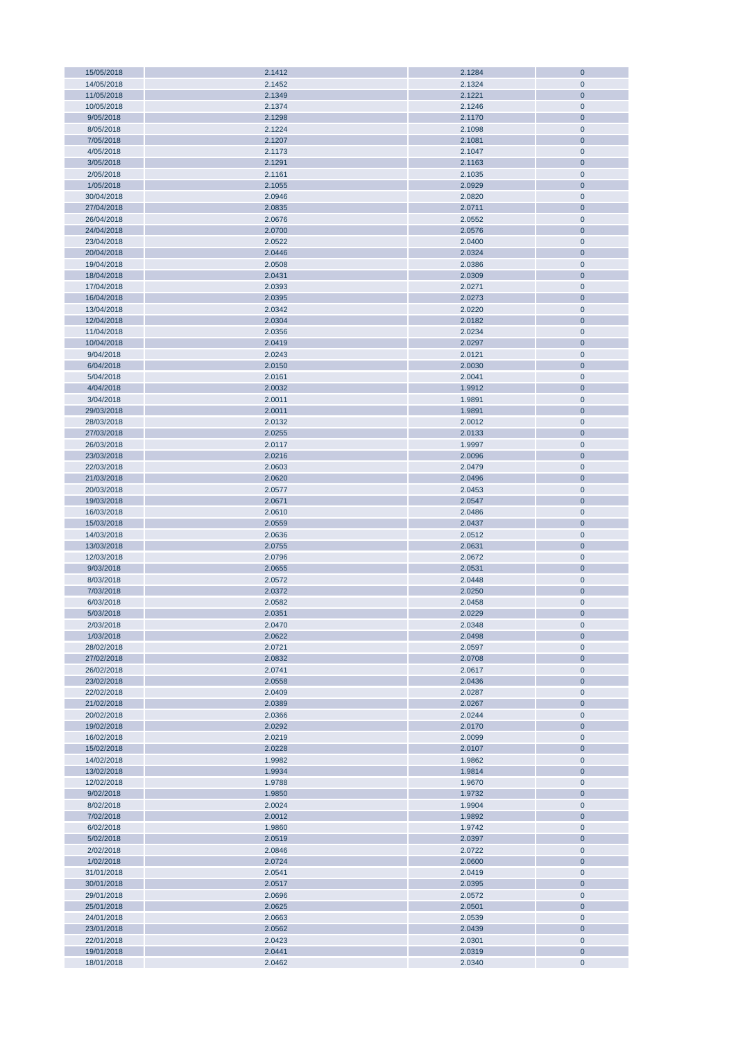| 15/05/2018               | 2.1412           | 2.1284           | $\bf 0$                |
|--------------------------|------------------|------------------|------------------------|
| 14/05/2018               | 2.1452           | 2.1324           | $\mathbf 0$            |
| 11/05/2018               | 2.1349           | 2.1221           | $\mathbf{0}$           |
| 10/05/2018               | 2.1374           | 2.1246           | $\pmb{0}$              |
|                          |                  |                  |                        |
| 9/05/2018                | 2.1298           | 2.1170           | $\bf 0$                |
| 8/05/2018                | 2.1224           | 2.1098           | $\pmb{0}$              |
| 7/05/2018                | 2.1207           | 2.1081           | $\pmb{0}$              |
| 4/05/2018                | 2.1173           | 2.1047           | $\pmb{0}$              |
| 3/05/2018                | 2.1291           | 2.1163           | $\pmb{0}$              |
|                          |                  |                  |                        |
| 2/05/2018                | 2.1161           | 2.1035           | $\pmb{0}$              |
| 1/05/2018                | 2.1055           | 2.0929           | $\pmb{0}$              |
| 30/04/2018               | 2.0946           | 2.0820           | $\pmb{0}$              |
| 27/04/2018               | 2.0835           | 2.0711           | $\pmb{0}$              |
|                          |                  |                  |                        |
| 26/04/2018               | 2.0676           | 2.0552           | $\pmb{0}$              |
| 24/04/2018               | 2.0700           | 2.0576           | $\pmb{0}$              |
| 23/04/2018               | 2.0522           | 2.0400           | $\pmb{0}$              |
| 20/04/2018               | 2.0446           | 2.0324           | $\pmb{0}$              |
|                          |                  |                  |                        |
| 19/04/2018               | 2.0508           | 2.0386           | $\pmb{0}$              |
| 18/04/2018               | 2.0431           | 2.0309           | $\pmb{0}$              |
| 17/04/2018               | 2.0393           | 2.0271           | $\pmb{0}$              |
| 16/04/2018               | 2.0395           | 2.0273           | $\pmb{0}$              |
| 13/04/2018               | 2.0342           | 2.0220           | $\pmb{0}$              |
|                          |                  |                  |                        |
| 12/04/2018               | 2.0304           | 2.0182           | $\bf 0$                |
| 11/04/2018               | 2.0356           | 2.0234           | $\pmb{0}$              |
| 10/04/2018               | 2.0419           | 2.0297           | $\bf 0$                |
| 9/04/2018                | 2.0243           | 2.0121           | $\pmb{0}$              |
|                          |                  |                  |                        |
| 6/04/2018                | 2.0150           | 2.0030           | $\bf 0$                |
| 5/04/2018                | 2.0161           | 2.0041           | $\pmb{0}$              |
| 4/04/2018                | 2.0032           | 1.9912           | $\pmb{0}$              |
| 3/04/2018                | 2.0011           | 1.9891           | $\pmb{0}$              |
|                          |                  |                  |                        |
| 29/03/2018               | 2.0011           | 1.9891           | $\pmb{0}$              |
| 28/03/2018               | 2.0132           | 2.0012           | $\pmb{0}$              |
| 27/03/2018               | 2.0255           | 2.0133           | $\pmb{0}$              |
| 26/03/2018               | 2.0117           | 1.9997           | $\pmb{0}$              |
| 23/03/2018               | 2.0216           | 2.0096           | $\pmb{0}$              |
|                          |                  |                  |                        |
| 22/03/2018               | 2.0603           | 2.0479           | $\pmb{0}$              |
| 21/03/2018               | 2.0620           | 2.0496           | $\pmb{0}$              |
| 20/03/2018               | 2.0577           | 2.0453           | $\pmb{0}$              |
| 19/03/2018               | 2.0671           | 2.0547           | $\pmb{0}$              |
|                          |                  |                  |                        |
| 16/03/2018               | 2.0610           | 2.0486           | $\pmb{0}$              |
| 15/03/2018               | 2.0559           | 2.0437           | $\pmb{0}$              |
| 14/03/2018               | 2.0636           | 2.0512           | $\pmb{0}$              |
| 13/03/2018               | 2.0755           | 2.0631           | $\pmb{0}$              |
|                          |                  |                  |                        |
| 12/03/2018               | 2.0796           | 2.0672           | $\pmb{0}$              |
| 9/03/2018                | 2.0655           | 2.0531           | $\pmb{0}$              |
| 8/03/2018                | 2.0572           | 2.0448           | $\pmb{0}$              |
| 7/03/2018                | 2.0372           | 2.0250           | $\bf{0}$               |
|                          |                  |                  | $\mathbf 0$            |
| 6/03/2018                | 2.0582           | 2.0458           |                        |
| 5/03/2018                | 2.0351           | 2.0229           | $\overline{0}$         |
| 2/03/2018                | 2.0470           | 2.0348           | $\pmb{0}$              |
| 1/03/2018                | 2.0622           | 2.0498           | $\mathbf{0}$           |
| 28/02/2018               | 2.0721           | 2.0597           | $\mathbf 0$            |
|                          |                  |                  |                        |
| 27/02/2018               | 2.0832           | 2.0708           | $\pmb{0}$              |
| 26/02/2018               | 2.0741           | 2.0617           | $\pmb{0}$              |
| 23/02/2018               | 2.0558           | 2.0436           | $\pmb{0}$              |
| 22/02/2018               | 2.0409           | 2.0287           | $\pmb{0}$              |
| 21/02/2018               | 2.0389           | 2.0267           | $\pmb{0}$              |
|                          |                  |                  |                        |
| 20/02/2018               | 2.0366           | 2.0244           | $\pmb{0}$              |
| 19/02/2018               | 2.0292           | 2.0170           | $\pmb{0}$              |
| 16/02/2018               | 2.0219           | 2.0099           | $\pmb{0}$              |
| 15/02/2018               | 2.0228           | 2.0107           | $\pmb{0}$              |
|                          |                  |                  |                        |
| 14/02/2018               | 1.9982           | 1.9862           | $\pmb{0}$              |
| 13/02/2018               | 1.9934           | 1.9814           | $\pmb{0}$              |
| 12/02/2018               | 1.9788           | 1.9670           | $\pmb{0}$              |
| 9/02/2018                | 1.9850           | 1.9732           | $\pmb{0}$              |
| 8/02/2018                | 2.0024           | 1.9904           | $\pmb{0}$              |
|                          |                  |                  |                        |
| 7/02/2018                | 2.0012           | 1.9892           | $\pmb{0}$              |
| 6/02/2018                | 1.9860           | 1.9742           | $\pmb{0}$              |
| 5/02/2018                | 2.0519           | 2.0397           | $\bf 0$                |
| 2/02/2018                | 2.0846           | 2.0722           | $\pmb{0}$              |
|                          |                  |                  |                        |
| 1/02/2018                | 2.0724           | 2.0600           | $\bf 0$                |
| 31/01/2018               | 2.0541           | 2.0419           | $\pmb{0}$              |
| 30/01/2018               | 2.0517           | 2.0395           | $\bf 0$                |
| 29/01/2018               | 2.0696           | 2.0572           | $\pmb{0}$              |
|                          |                  |                  |                        |
| 25/01/2018               | 2.0625           | 2.0501           | $\mathbf{0}$           |
| 24/01/2018               | 2.0663           | 2.0539           | $\pmb{0}$              |
| 23/01/2018               | 2.0562           | 2.0439           | $\pmb{0}$              |
| 22/01/2018               | 2.0423           | 2.0301           | $\pmb{0}$              |
|                          |                  |                  |                        |
|                          |                  |                  |                        |
| 19/01/2018<br>18/01/2018 | 2.0441<br>2.0462 | 2.0319<br>2.0340 | $\pmb{0}$<br>$\pmb{0}$ |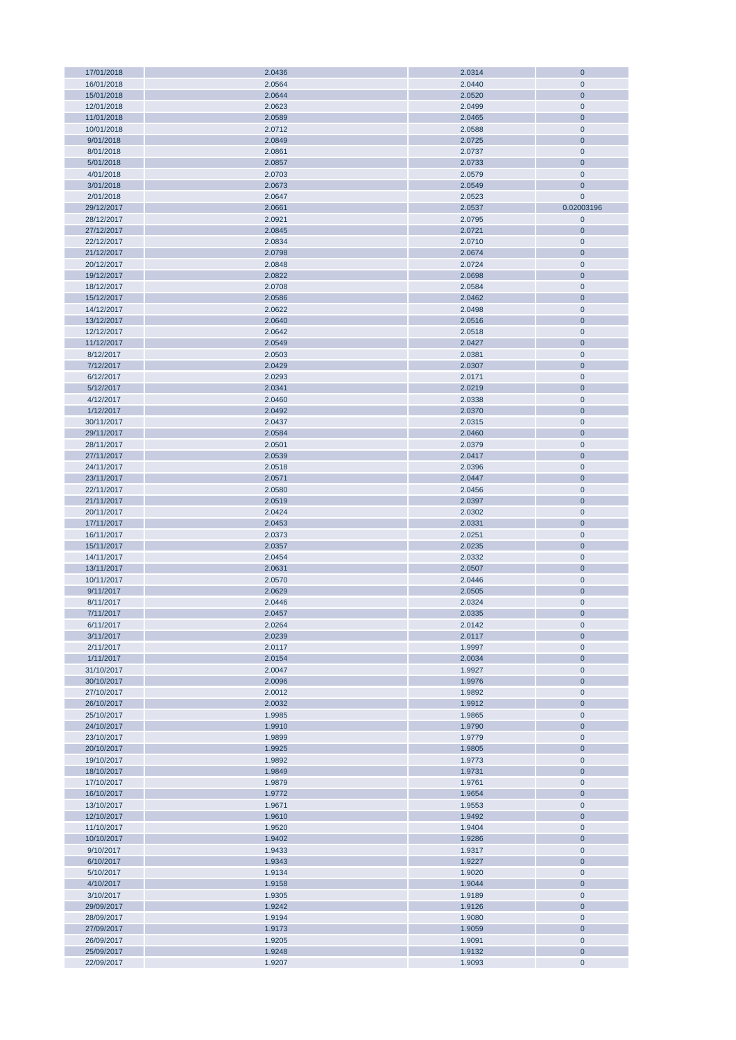| 17/01/2018 | 2.0436 | 2.0314 | $\bf 0$        |
|------------|--------|--------|----------------|
| 16/01/2018 | 2.0564 | 2.0440 | $\mathbf 0$    |
| 15/01/2018 | 2.0644 | 2.0520 | $\bf 0$        |
|            |        |        |                |
| 12/01/2018 | 2.0623 | 2.0499 | $\mathbf 0$    |
| 11/01/2018 | 2.0589 | 2.0465 | $\bf 0$        |
| 10/01/2018 | 2.0712 | 2.0588 | $\pmb{0}$      |
| 9/01/2018  | 2.0849 | 2.0725 | $\mathbf 0$    |
| 8/01/2018  | 2.0861 | 2.0737 | $\mathbf 0$    |
|            |        |        |                |
| 5/01/2018  | 2.0857 | 2.0733 | $\mathbf 0$    |
| 4/01/2018  | 2.0703 | 2.0579 | $\mathbf 0$    |
| 3/01/2018  | 2.0673 | 2.0549 | $\mathbf 0$    |
| 2/01/2018  | 2.0647 | 2.0523 | $\mathbf 0$    |
|            |        |        |                |
| 29/12/2017 | 2.0661 | 2.0537 | 0.02003196     |
| 28/12/2017 | 2.0921 | 2.0795 | $\pmb{0}$      |
| 27/12/2017 | 2.0845 | 2.0721 | $\mathbf 0$    |
| 22/12/2017 | 2.0834 | 2.0710 | $\mathbf 0$    |
| 21/12/2017 | 2.0798 | 2.0674 | $\mathbf 0$    |
|            |        |        |                |
| 20/12/2017 | 2.0848 | 2.0724 | $\pmb{0}$      |
| 19/12/2017 | 2.0822 | 2.0698 | $\mathbf 0$    |
| 18/12/2017 | 2.0708 | 2.0584 | $\mathbf 0$    |
| 15/12/2017 | 2.0586 | 2.0462 | $\mathbf 0$    |
|            |        |        |                |
| 14/12/2017 | 2.0622 | 2.0498 | $\pmb{0}$      |
| 13/12/2017 | 2.0640 | 2.0516 | $\overline{0}$ |
| 12/12/2017 | 2.0642 | 2.0518 | $\pmb{0}$      |
| 11/12/2017 | 2.0549 | 2.0427 | $\mathbf 0$    |
| 8/12/2017  | 2.0503 | 2.0381 | $\pmb{0}$      |
|            |        |        |                |
| 7/12/2017  | 2.0429 | 2.0307 | $\bf 0$        |
| 6/12/2017  | 2.0293 | 2.0171 | $\pmb{0}$      |
| 5/12/2017  | 2.0341 | 2.0219 | $\bf 0$        |
| 4/12/2017  | 2.0460 | 2.0338 | $\pmb{0}$      |
|            |        |        |                |
| 1/12/2017  | 2.0492 | 2.0370 | $\mathbf 0$    |
| 30/11/2017 | 2.0437 | 2.0315 | $\mathbf 0$    |
| 29/11/2017 | 2.0584 | 2.0460 | $\mathbf 0$    |
| 28/11/2017 | 2.0501 | 2.0379 | $\mathbf 0$    |
| 27/11/2017 | 2.0539 | 2.0417 | $\mathbf 0$    |
|            |        |        |                |
| 24/11/2017 | 2.0518 | 2.0396 | $\mathbf 0$    |
| 23/11/2017 | 2.0571 | 2.0447 | $\mathbf 0$    |
| 22/11/2017 | 2.0580 | 2.0456 | $\pmb{0}$      |
| 21/11/2017 | 2.0519 | 2.0397 | $\mathbf 0$    |
| 20/11/2017 |        |        | $\pmb{0}$      |
|            | 2.0424 | 2.0302 |                |
| 17/11/2017 | 2.0453 | 2.0331 | $\mathbf 0$    |
| 16/11/2017 | 2.0373 | 2.0251 | $\mathbf 0$    |
| 15/11/2017 | 2.0357 | 2.0235 | $\mathbf 0$    |
| 14/11/2017 | 2.0454 | 2.0332 | $\mathbf 0$    |
|            |        |        |                |
| 13/11/2017 | 2.0631 | 2.0507 | $\overline{0}$ |
| 10/11/2017 | 2.0570 | 2.0446 | $\mathbf 0$    |
| 9/11/2017  | 2.0629 | 2.0505 | $\mathbf 0$    |
| 8/11/2017  | 2.0446 | 2.0324 | $\mathbf 0$    |
| 7/11/2017  | 2.0457 | 2.0335 | $\bf{0}$       |
|            |        |        |                |
| 6/11/2017  | 2.0264 | 2.0142 | $\mathbf 0$    |
| 3/11/2017  | 2.0239 | 2.0117 | $\bf 0$        |
| 2/11/2017  | 2.0117 | 1.9997 | $\mathbf 0$    |
| 1/11/2017  | 2.0154 | 2.0034 | $\mathbf 0$    |
| 31/10/2017 | 2.0047 | 1.9927 | $\pmb{0}$      |
|            |        |        |                |
| 30/10/2017 | 2.0096 | 1.9976 | $\mathbf 0$    |
| 27/10/2017 | 2.0012 | 1.9892 | $\mathbf 0$    |
| 26/10/2017 | 2.0032 | 1.9912 | $\mathbf 0$    |
| 25/10/2017 | 1.9985 | 1.9865 | $\mathbf 0$    |
| 24/10/2017 | 1.9910 | 1.9790 | $\mathbf 0$    |
|            |        |        |                |
| 23/10/2017 | 1.9899 | 1.9779 | $\pmb{0}$      |
| 20/10/2017 | 1.9925 | 1.9805 | $\mathbf 0$    |
| 19/10/2017 | 1.9892 | 1.9773 | $\pmb{0}$      |
| 18/10/2017 | 1.9849 | 1.9731 | $\mathbf 0$    |
| 17/10/2017 | 1.9879 | 1.9761 | $\pmb{0}$      |
|            |        |        | $\mathbf 0$    |
| 16/10/2017 | 1.9772 | 1.9654 |                |
| 13/10/2017 | 1.9671 | 1.9553 | $\pmb{0}$      |
| 12/10/2017 | 1.9610 | 1.9492 | $\bf 0$        |
| 11/10/2017 | 1.9520 | 1.9404 | $\pmb{0}$      |
| 10/10/2017 | 1.9402 | 1.9286 | $\overline{0}$ |
|            |        |        |                |
| 9/10/2017  | 1.9433 | 1.9317 | $\pmb{0}$      |
| 6/10/2017  | 1.9343 | 1.9227 | $\overline{0}$ |
| 5/10/2017  | 1.9134 | 1.9020 | $\pmb{0}$      |
| 4/10/2017  | 1.9158 | 1.9044 | $\mathbf 0$    |
| 3/10/2017  | 1.9305 |        | $\pmb{0}$      |
|            |        | 1.9189 |                |
| 29/09/2017 | 1.9242 | 1.9126 | $\mathbf 0$    |
| 28/09/2017 | 1.9194 | 1.9080 | $\pmb{0}$      |
| 27/09/2017 | 1.9173 | 1.9059 | $\bf{0}$       |
| 26/09/2017 | 1.9205 | 1.9091 | $\pmb{0}$      |
|            |        |        |                |
| 25/09/2017 | 1.9248 | 1.9132 | $\mathbf 0$    |
| 22/09/2017 | 1.9207 | 1.9093 | $\mathbf 0$    |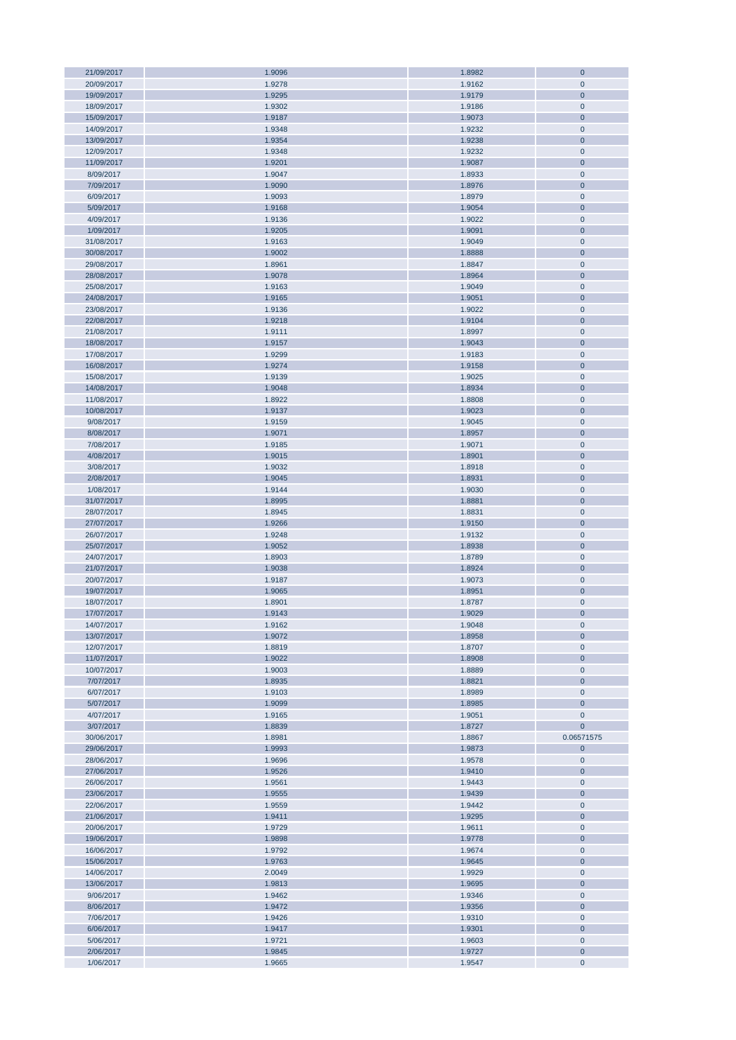| 21/09/2017 | 1.9096 | 1.8982 | $\mathbf 0$    |
|------------|--------|--------|----------------|
| 20/09/2017 | 1.9278 | 1.9162 | $\mathbf 0$    |
| 19/09/2017 | 1.9295 | 1.9179 | $\mathbf 0$    |
| 18/09/2017 | 1.9302 | 1.9186 | $\mathbf 0$    |
|            |        |        |                |
| 15/09/2017 | 1.9187 | 1.9073 | $\mathbf 0$    |
| 14/09/2017 | 1.9348 | 1.9232 | $\mathbf 0$    |
| 13/09/2017 | 1.9354 | 1.9238 | $\mathbf 0$    |
| 12/09/2017 | 1.9348 | 1.9232 | $\mathbf 0$    |
|            |        |        |                |
| 11/09/2017 | 1.9201 | 1.9087 | $\bf 0$        |
| 8/09/2017  | 1.9047 | 1.8933 | $\mathbf 0$    |
| 7/09/2017  | 1.9090 | 1.8976 | $\mathbf 0$    |
|            |        |        |                |
| 6/09/2017  | 1.9093 | 1.8979 | $\mathbf 0$    |
| 5/09/2017  | 1.9168 | 1.9054 | $\mathbf 0$    |
| 4/09/2017  | 1.9136 | 1.9022 | $\pmb{0}$      |
| 1/09/2017  | 1.9205 | 1.9091 | $\mathbf 0$    |
|            |        |        |                |
| 31/08/2017 | 1.9163 | 1.9049 | $\mathbf 0$    |
| 30/08/2017 | 1.9002 | 1.8888 | $\mathbf 0$    |
| 29/08/2017 | 1.8961 | 1.8847 | $\mathbf 0$    |
| 28/08/2017 | 1.9078 | 1.8964 | $\mathbf 0$    |
|            |        |        |                |
| 25/08/2017 | 1.9163 | 1.9049 | $\mathbf 0$    |
| 24/08/2017 | 1.9165 | 1.9051 | $\mathbf 0$    |
| 23/08/2017 | 1.9136 | 1.9022 | $\mathbf 0$    |
| 22/08/2017 | 1.9218 | 1.9104 | $\mathbf 0$    |
|            |        |        |                |
| 21/08/2017 | 1.9111 | 1.8997 | $\mathbf 0$    |
| 18/08/2017 | 1.9157 | 1.9043 | $\mathbf 0$    |
| 17/08/2017 | 1.9299 | 1.9183 | $\mathbf 0$    |
|            |        | 1.9158 | $\mathbf 0$    |
| 16/08/2017 | 1.9274 |        |                |
| 15/08/2017 | 1.9139 | 1.9025 | $\mathbf 0$    |
| 14/08/2017 | 1.9048 | 1.8934 | $\mathbf 0$    |
| 11/08/2017 | 1.8922 | 1.8808 | $\mathbf 0$    |
| 10/08/2017 |        |        | $\overline{0}$ |
|            | 1.9137 | 1.9023 |                |
| 9/08/2017  | 1.9159 | 1.9045 | $\mathbf 0$    |
| 8/08/2017  | 1.9071 | 1.8957 | $\overline{0}$ |
| 7/08/2017  | 1.9185 | 1.9071 | $\pmb{0}$      |
|            |        |        |                |
| 4/08/2017  | 1.9015 | 1.8901 | $\mathbf 0$    |
| 3/08/2017  | 1.9032 | 1.8918 | $\pmb{0}$      |
| 2/08/2017  | 1.9045 | 1.8931 | $\mathbf 0$    |
| 1/08/2017  | 1.9144 | 1.9030 | $\pmb{0}$      |
|            |        |        |                |
| 31/07/2017 | 1.8995 | 1.8881 | $\mathbf 0$    |
| 28/07/2017 | 1.8945 | 1.8831 | $\mathbf 0$    |
| 27/07/2017 | 1.9266 | 1.9150 | $\mathbf 0$    |
| 26/07/2017 | 1.9248 | 1.9132 | $\mathbf 0$    |
|            |        |        |                |
| 25/07/2017 | 1.9052 | 1.8938 | $\mathbf 0$    |
| 24/07/2017 | 1.8903 | 1.8789 | $\mathbf 0$    |
| 21/07/2017 | 1.9038 | 1.8924 | $\mathbf 0$    |
|            |        |        | $\mathbf 0$    |
| 20/07/2017 | 1.9187 | 1.9073 |                |
| 19/07/2017 | 1.9065 | 1.8951 | $\mathbf 0$    |
| 18/07/2017 | 1.8901 | 1.8787 | $\mathbf 0$    |
| 17/07/2017 | 1.9143 | 1.9029 | $\overline{0}$ |
|            |        |        |                |
| 14/07/2017 | 1.9162 | 1.9048 | $\mathbf 0$    |
| 13/07/2017 | 1.9072 | 1.8958 | $\mathbf 0$    |
| 12/07/2017 | 1.8819 | 1.8707 | $\mathbf 0$    |
| 11/07/2017 | 1.9022 | 1.8908 | $\mathbf 0$    |
|            |        |        |                |
| 10/07/2017 | 1.9003 | 1.8889 | $\mathbf 0$    |
| 7/07/2017  | 1.8935 | 1.8821 | $\mathbf 0$    |
| 6/07/2017  | 1.9103 | 1.8989 | $\pmb{0}$      |
| 5/07/2017  | 1.9099 | 1.8985 | $\bf 0$        |
|            |        |        |                |
| 4/07/2017  | 1.9165 | 1.9051 | $\pmb{0}$      |
| 3/07/2017  | 1.8839 | 1.8727 | $\mathbf 0$    |
| 30/06/2017 | 1.8981 | 1.8867 | 0.06571575     |
| 29/06/2017 | 1.9993 | 1.9873 | $\mathbf{0}$   |
|            |        |        |                |
| 28/06/2017 | 1.9696 | 1.9578 | $\pmb{0}$      |
| 27/06/2017 | 1.9526 | 1.9410 | $\mathbf 0$    |
| 26/06/2017 | 1.9561 | 1.9443 | $\mathbf 0$    |
| 23/06/2017 | 1.9555 | 1.9439 | $\mathbf 0$    |
|            |        |        |                |
| 22/06/2017 | 1.9559 | 1.9442 | $\mathbf 0$    |
| 21/06/2017 | 1.9411 | 1.9295 | $\mathbf 0$    |
| 20/06/2017 | 1.9729 | 1.9611 | $\mathbf 0$    |
| 19/06/2017 | 1.9898 | 1.9778 | $\mathbf 0$    |
|            |        |        |                |
| 16/06/2017 | 1.9792 | 1.9674 | $\pmb{0}$      |
| 15/06/2017 | 1.9763 | 1.9645 | $\bf 0$        |
| 14/06/2017 | 2.0049 | 1.9929 | $\pmb{0}$      |
|            |        |        | $\mathbf 0$    |
| 13/06/2017 | 1.9813 | 1.9695 |                |
| 9/06/2017  | 1.9462 | 1.9346 | $\pmb{0}$      |
| 8/06/2017  | 1.9472 | 1.9356 | $\mathbf 0$    |
| 7/06/2017  | 1.9426 | 1.9310 | $\mathbf 0$    |
|            |        |        |                |
| 6/06/2017  | 1.9417 | 1.9301 | $\mathbf 0$    |
| 5/06/2017  | 1.9721 | 1.9603 | $\pmb{0}$      |
| 2/06/2017  | 1.9845 | 1.9727 | $\bf 0$        |
| 1/06/2017  | 1.9665 | 1.9547 | $\mathbf 0$    |
|            |        |        |                |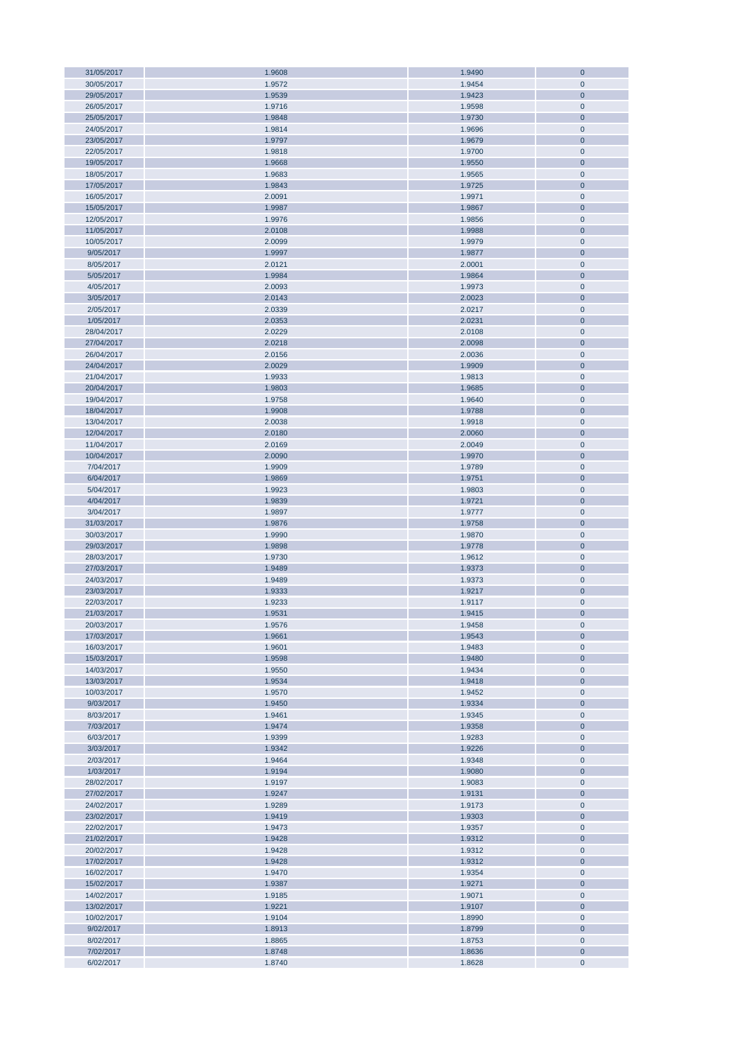| 31/05/2017 | 1.9608 | 1.9490 | $\mathbf 0$    |
|------------|--------|--------|----------------|
| 30/05/2017 | 1.9572 | 1.9454 | $\mathbf{0}$   |
| 29/05/2017 | 1.9539 | 1.9423 | $\overline{0}$ |
|            |        |        |                |
| 26/05/2017 | 1.9716 | 1.9598 | $\pmb{0}$      |
| 25/05/2017 | 1.9848 | 1.9730 | $\mathbf 0$    |
| 24/05/2017 | 1.9814 | 1.9696 | $\pmb{0}$      |
| 23/05/2017 | 1.9797 | 1.9679 | $\mathbf 0$    |
|            |        |        |                |
| 22/05/2017 | 1.9818 | 1.9700 | $\bf 0$        |
| 19/05/2017 | 1.9668 | 1.9550 | $\mathbf 0$    |
| 18/05/2017 | 1.9683 | 1.9565 | $\pmb{0}$      |
| 17/05/2017 | 1.9843 | 1.9725 | $\mathbf 0$    |
|            |        |        |                |
| 16/05/2017 | 2.0091 | 1.9971 | $\pmb{0}$      |
| 15/05/2017 | 1.9987 | 1.9867 | $\pmb{0}$      |
| 12/05/2017 | 1.9976 | 1.9856 | $\pmb{0}$      |
|            |        |        |                |
| 11/05/2017 | 2.0108 | 1.9988 | $\mathbf{0}$   |
| 10/05/2017 | 2.0099 | 1.9979 | $\pmb{0}$      |
| 9/05/2017  | 1.9997 | 1.9877 | $\mathbf 0$    |
|            |        |        |                |
| 8/05/2017  | 2.0121 | 2.0001 | $\pmb{0}$      |
| 5/05/2017  | 1.9984 | 1.9864 | $\mathbf 0$    |
| 4/05/2017  | 2.0093 | 1.9973 | $\pmb{0}$      |
| 3/05/2017  | 2.0143 | 2.0023 | $\mathbf{0}$   |
|            |        |        |                |
| 2/05/2017  | 2.0339 | 2.0217 | $\pmb{0}$      |
| 1/05/2017  | 2.0353 | 2.0231 | $\mathbf 0$    |
| 28/04/2017 | 2.0229 | 2.0108 | $\pmb{0}$      |
|            |        | 2.0098 |                |
| 27/04/2017 | 2.0218 |        | $\mathbf 0$    |
| 26/04/2017 | 2.0156 | 2.0036 | $\pmb{0}$      |
| 24/04/2017 | 2.0029 | 1.9909 | $\overline{0}$ |
| 21/04/2017 | 1.9933 | 1.9813 | $\pmb{0}$      |
|            |        |        |                |
| 20/04/2017 | 1.9803 | 1.9685 | $\mathbf 0$    |
| 19/04/2017 | 1.9758 | 1.9640 | $\pmb{0}$      |
| 18/04/2017 | 1.9908 | 1.9788 | $\mathbf 0$    |
| 13/04/2017 | 2.0038 | 1.9918 | $\pmb{0}$      |
|            |        |        |                |
| 12/04/2017 | 2.0180 | 2.0060 | $\mathbf 0$    |
| 11/04/2017 | 2.0169 | 2.0049 | $\pmb{0}$      |
| 10/04/2017 | 2.0090 | 1.9970 | $\mathbf 0$    |
|            |        |        |                |
| 7/04/2017  | 1.9909 | 1.9789 | $\pmb{0}$      |
| 6/04/2017  | 1.9869 | 1.9751 | $\mathbf 0$    |
| 5/04/2017  | 1.9923 | 1.9803 | $\pmb{0}$      |
| 4/04/2017  | 1.9839 | 1.9721 | $\mathbf{0}$   |
|            |        |        |                |
| 3/04/2017  | 1.9897 | 1.9777 | $\pmb{0}$      |
| 31/03/2017 | 1.9876 | 1.9758 | $\mathbf{0}$   |
| 30/03/2017 | 1.9990 | 1.9870 | $\pmb{0}$      |
| 29/03/2017 |        |        | $\pmb{0}$      |
|            | 1.9898 | 1.9778 |                |
| 28/03/2017 | 1.9730 | 1.9612 | $\pmb{0}$      |
| 27/03/2017 | 1.9489 | 1.9373 | $\mathbf{0}$   |
| 24/03/2017 | 1.9489 | 1.9373 | $\pmb{0}$      |
|            |        |        |                |
| 23/03/2017 | 1.9333 | 1.9217 | $\mathbf{0}$   |
| 22/03/2017 | 1.9233 | 1.9117 | $\pmb{0}$      |
| 21/03/2017 | 1.9531 | 1.9415 | $\overline{0}$ |
| 20/03/2017 | 1.9576 | 1.9458 | $\mathbf{0}$   |
|            |        |        |                |
| 17/03/2017 | 1.9661 | 1.9543 | $\bf{0}$       |
| 16/03/2017 | 1.9601 | 1.9483 | $\mathbf{0}$   |
| 15/03/2017 | 1.9598 | 1.9480 | $\bf 0$        |
|            |        |        |                |
| 14/03/2017 | 1.9550 | 1.9434 | $\pmb{0}$      |
| 13/03/2017 | 1.9534 | 1.9418 | $\bf{0}$       |
| 10/03/2017 | 1.9570 | 1.9452 | $\pmb{0}$      |
| 9/03/2017  | 1.9450 | 1.9334 | $\pmb{0}$      |
|            |        |        |                |
| 8/03/2017  | 1.9461 | 1.9345 | $\pmb{0}$      |
| 7/03/2017  | 1.9474 | 1.9358 | $\pmb{0}$      |
| 6/03/2017  | 1.9399 | 1.9283 | $\pmb{0}$      |
| 3/03/2017  | 1.9342 | 1.9226 | $\pmb{0}$      |
|            |        |        |                |
| 2/03/2017  | 1.9464 | 1.9348 | $\pmb{0}$      |
| 1/03/2017  | 1.9194 | 1.9080 | $\mathbf{0}$   |
| 28/02/2017 | 1.9197 | 1.9083 | $\pmb{0}$      |
| 27/02/2017 | 1.9247 | 1.9131 | $\pmb{0}$      |
|            |        |        |                |
| 24/02/2017 | 1.9289 | 1.9173 | $\pmb{0}$      |
| 23/02/2017 | 1.9419 | 1.9303 | $\mathbf 0$    |
| 22/02/2017 | 1.9473 | 1.9357 | $\pmb{0}$      |
|            |        |        |                |
| 21/02/2017 | 1.9428 | 1.9312 | $\mathbf 0$    |
| 20/02/2017 | 1.9428 | 1.9312 | $\pmb{0}$      |
| 17/02/2017 | 1.9428 | 1.9312 | $\mathbf 0$    |
| 16/02/2017 | 1.9470 | 1.9354 | $\pmb{0}$      |
|            |        |        |                |
| 15/02/2017 | 1.9387 | 1.9271 | $\mathbf 0$    |
| 14/02/2017 | 1.9185 | 1.9071 | $\pmb{0}$      |
| 13/02/2017 | 1.9221 | 1.9107 | $\mathbf 0$    |
| 10/02/2017 | 1.9104 | 1.8990 | $\pmb{0}$      |
|            |        |        |                |
| 9/02/2017  | 1.8913 | 1.8799 | $\mathbf 0$    |
| 8/02/2017  | 1.8865 | 1.8753 | $\pmb{0}$      |
| 7/02/2017  | 1.8748 | 1.8636 | $\mathbf 0$    |
| 6/02/2017  | 1.8740 | 1.8628 | $\pmb{0}$      |
|            |        |        |                |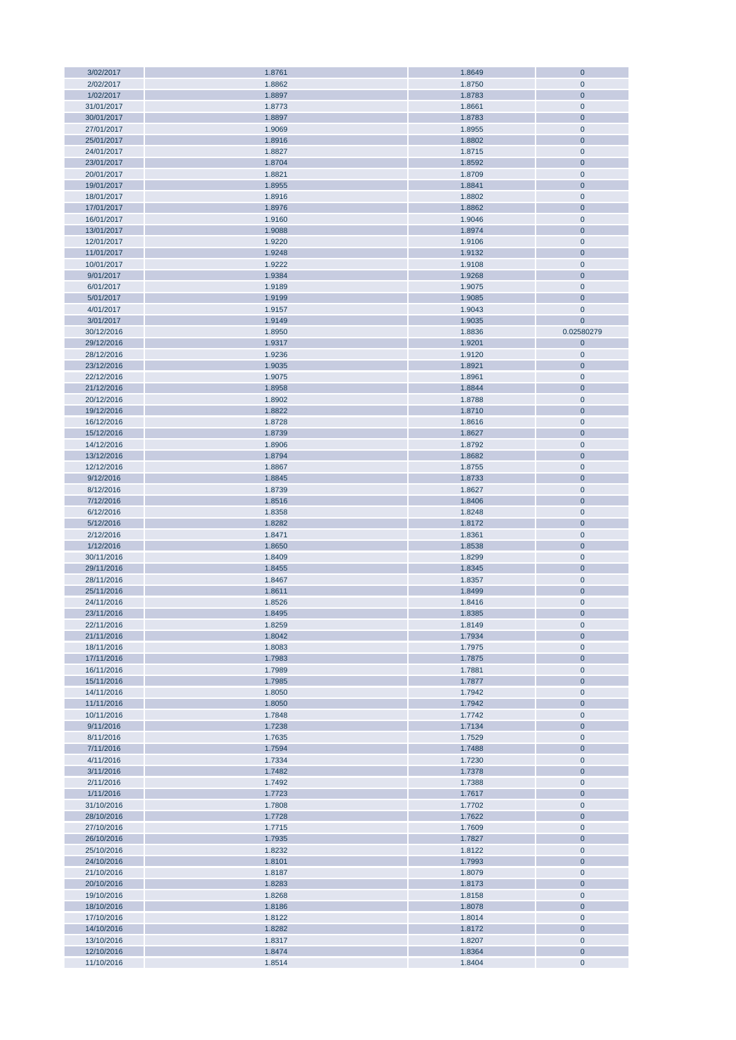| 3/02/2017  | 1.8761 | 1.8649 | $\mathbf 0$    |
|------------|--------|--------|----------------|
| 2/02/2017  | 1.8862 | 1.8750 | $\mathbf 0$    |
| 1/02/2017  | 1.8897 | 1.8783 | $\mathbf 0$    |
| 31/01/2017 |        |        | $\mathbf 0$    |
|            | 1.8773 | 1.8661 |                |
| 30/01/2017 | 1.8897 | 1.8783 | $\mathbf 0$    |
| 27/01/2017 | 1.9069 | 1.8955 | $\pmb{0}$      |
| 25/01/2017 | 1.8916 | 1.8802 | $\mathbf 0$    |
|            |        |        |                |
| 24/01/2017 | 1.8827 | 1.8715 | $\mathbf 0$    |
| 23/01/2017 | 1.8704 | 1.8592 | $\mathbf 0$    |
| 20/01/2017 | 1.8821 | 1.8709 | $\mathbf 0$    |
| 19/01/2017 | 1.8955 | 1.8841 | $\mathbf 0$    |
|            |        |        |                |
| 18/01/2017 | 1.8916 | 1.8802 | $\mathbf 0$    |
| 17/01/2017 | 1.8976 | 1.8862 | $\mathbf 0$    |
| 16/01/2017 | 1.9160 | 1.9046 | $\mathbf 0$    |
| 13/01/2017 | 1.9088 | 1.8974 | $\mathbf 0$    |
|            |        |        |                |
| 12/01/2017 | 1.9220 | 1.9106 | $\mathbf 0$    |
| 11/01/2017 | 1.9248 | 1.9132 | $\mathbf 0$    |
| 10/01/2017 | 1.9222 | 1.9108 | $\pmb{0}$      |
| 9/01/2017  | 1.9384 | 1.9268 | $\mathbf 0$    |
|            |        |        |                |
| 6/01/2017  | 1.9189 | 1.9075 | $\mathbf 0$    |
| 5/01/2017  | 1.9199 | 1.9085 | $\mathbf 0$    |
| 4/01/2017  | 1.9157 | 1.9043 | $\mathbf 0$    |
| 3/01/2017  | 1.9149 | 1.9035 | $\mathbf{0}$   |
|            |        |        |                |
| 30/12/2016 | 1.8950 | 1.8836 | 0.02580279     |
| 29/12/2016 | 1.9317 | 1.9201 | $\mathbf 0$    |
| 28/12/2016 | 1.9236 | 1.9120 | $\pmb{0}$      |
|            |        |        |                |
| 23/12/2016 | 1.9035 | 1.8921 | $\mathbf 0$    |
| 22/12/2016 | 1.9075 | 1.8961 | $\pmb{0}$      |
| 21/12/2016 | 1.8958 | 1.8844 | $\mathbf 0$    |
| 20/12/2016 | 1.8902 | 1.8788 | $\pmb{0}$      |
|            |        |        |                |
| 19/12/2016 | 1.8822 | 1.8710 | $\mathbf 0$    |
| 16/12/2016 | 1.8728 | 1.8616 | $\pmb{0}$      |
| 15/12/2016 | 1.8739 | 1.8627 | $\mathbf 0$    |
| 14/12/2016 | 1.8906 | 1.8792 | $\pmb{0}$      |
|            |        |        |                |
| 13/12/2016 | 1.8794 | 1.8682 | $\mathbf 0$    |
| 12/12/2016 | 1.8867 | 1.8755 | $\mathbf 0$    |
| 9/12/2016  | 1.8845 | 1.8733 | $\mathbf 0$    |
| 8/12/2016  | 1.8739 | 1.8627 | $\mathbf 0$    |
|            |        |        |                |
| 7/12/2016  | 1.8516 | 1.8406 | $\mathbf 0$    |
| 6/12/2016  | 1.8358 | 1.8248 | $\mathbf 0$    |
| 5/12/2016  | 1.8282 | 1.8172 | $\mathbf 0$    |
|            |        |        |                |
| 2/12/2016  | 1.8471 | 1.8361 | $\pmb{0}$      |
| 1/12/2016  | 1.8650 | 1.8538 | $\mathbf 0$    |
| 30/11/2016 | 1.8409 | 1.8299 | $\mathbf 0$    |
| 29/11/2016 | 1.8455 | 1.8345 | $\mathbf{0}$   |
|            |        |        |                |
| 28/11/2016 | 1.8467 | 1.8357 | $\mathbf 0$    |
| 25/11/2016 | 1.8611 | 1.8499 | $\mathbf 0$    |
| 24/11/2016 | 1.8526 | 1.8416 | $\mathbf 0$    |
| 23/11/2016 | 1.8495 | 1.8385 | $\overline{0}$ |
|            |        |        |                |
| 22/11/2016 | 1.8259 | 1.8149 | $\mathbf 0$    |
| 21/11/2016 | 1.8042 | 1.7934 | $\mathbf 0$    |
| 18/11/2016 | 1.8083 | 1.7975 | $\mathbf 0$    |
|            | 1.7983 |        |                |
| 17/11/2016 |        | 1.7875 | $\mathbf 0$    |
| 16/11/2016 | 1.7989 | 1.7881 | $\mathbf 0$    |
| 15/11/2016 | 1.7985 | 1.7877 | $\mathbf 0$    |
| 14/11/2016 | 1.8050 | 1.7942 | $\mathbf 0$    |
|            | 1.8050 | 1.7942 |                |
| 11/11/2016 |        |        | $\mathbf 0$    |
| 10/11/2016 | 1.7848 | 1.7742 | $\mathbf 0$    |
| 9/11/2016  | 1.7238 | 1.7134 | $\mathbf 0$    |
| 8/11/2016  | 1.7635 | 1.7529 | $\mathbf 0$    |
| 7/11/2016  | 1.7594 | 1.7488 | $\mathbf 0$    |
|            |        |        |                |
| 4/11/2016  | 1.7334 | 1.7230 | $\mathbf 0$    |
| 3/11/2016  | 1.7482 | 1.7378 | $\mathbf 0$    |
| 2/11/2016  | 1.7492 | 1.7388 | $\mathbf 0$    |
| 1/11/2016  | 1.7723 |        | $\mathbf 0$    |
|            |        | 1.7617 |                |
| 31/10/2016 | 1.7808 | 1.7702 | $\pmb{0}$      |
| 28/10/2016 | 1.7728 | 1.7622 | $\mathbf 0$    |
| 27/10/2016 | 1.7715 | 1.7609 | $\mathbf 0$    |
|            |        |        |                |
| 26/10/2016 | 1.7935 | 1.7827 | $\mathbf 0$    |
| 25/10/2016 | 1.8232 | 1.8122 | $\mathbf 0$    |
| 24/10/2016 | 1.8101 | 1.7993 | $\overline{0}$ |
| 21/10/2016 | 1.8187 | 1.8079 | $\mathbf 0$    |
|            |        |        |                |
| 20/10/2016 | 1.8283 | 1.8173 | $\overline{0}$ |
| 19/10/2016 | 1.8268 | 1.8158 | $\mathbf 0$    |
| 18/10/2016 | 1.8186 | 1.8078 | $\mathbf 0$    |
| 17/10/2016 | 1.8122 | 1.8014 | $\pmb{0}$      |
|            |        |        |                |
| 14/10/2016 | 1.8282 | 1.8172 | $\mathbf 0$    |
| 13/10/2016 | 1.8317 | 1.8207 | $\pmb{0}$      |
| 12/10/2016 | 1.8474 | 1.8364 | $\mathbf 0$    |
| 11/10/2016 | 1.8514 | 1.8404 | $\pmb{0}$      |
|            |        |        |                |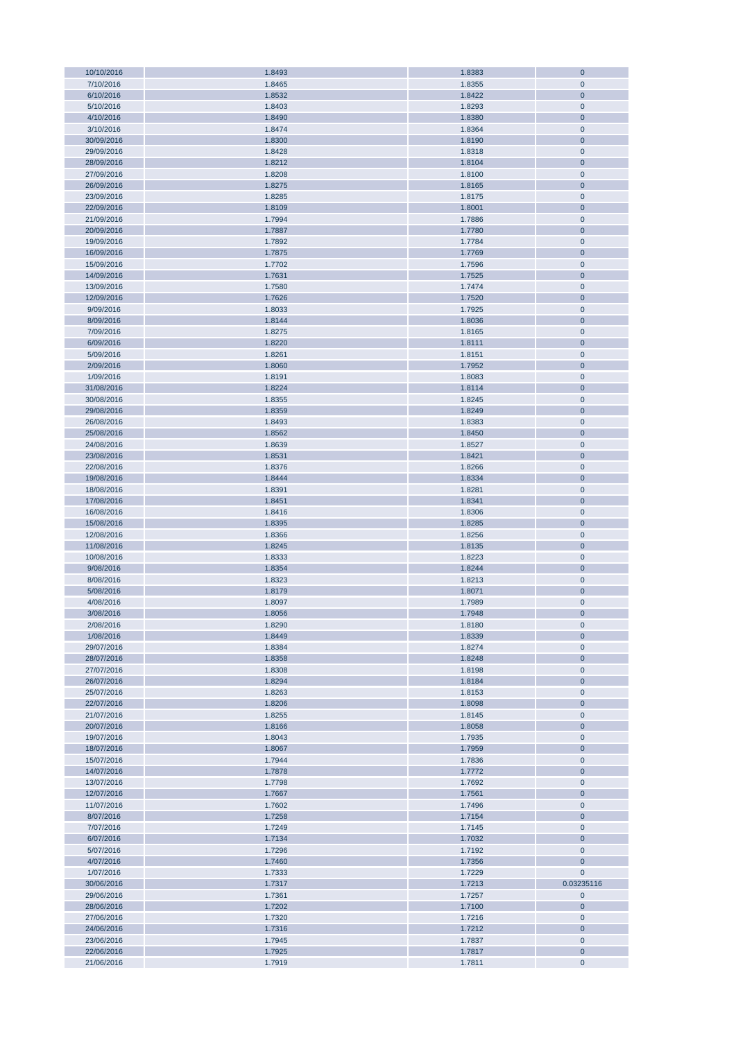| 10/10/2016               | 1.8493           | 1.8383           | $\mathbf{0}$            |
|--------------------------|------------------|------------------|-------------------------|
| 7/10/2016                | 1.8465           | 1.8355           | $\mathbf 0$             |
| 6/10/2016                | 1.8532           | 1.8422           | $\mathbf 0$             |
| 5/10/2016                | 1.8403           | 1.8293           | $\mathbf 0$             |
|                          |                  |                  |                         |
| 4/10/2016                | 1.8490           | 1.8380           | $\mathbf 0$             |
| 3/10/2016                | 1.8474           | 1.8364           | $\pmb{0}$               |
| 30/09/2016               | 1.8300           | 1.8190           | $\pmb{0}$               |
| 29/09/2016               | 1.8428           | 1.8318           | $\mathbf 0$             |
|                          |                  |                  | $\mathbf 0$             |
| 28/09/2016               | 1.8212           | 1.8104           |                         |
| 27/09/2016               | 1.8208           | 1.8100           | $\pmb{0}$               |
| 26/09/2016               | 1.8275           | 1.8165           | $\mathbf 0$             |
| 23/09/2016               | 1.8285           | 1.8175           | $\mathbf 0$             |
| 22/09/2016               | 1.8109           | 1.8001           | $\mathbf 0$             |
|                          |                  |                  |                         |
| 21/09/2016               | 1.7994           | 1.7886           | $\mathbf 0$             |
| 20/09/2016               | 1.7887           | 1.7780           | $\mathbf 0$             |
| 19/09/2016               | 1.7892           | 1.7784           | $\mathbf 0$             |
| 16/09/2016               | 1.7875           | 1.7769           | $\mathbf 0$             |
|                          |                  |                  |                         |
| 15/09/2016               | 1.7702           | 1.7596           | $\pmb{0}$               |
| 14/09/2016               | 1.7631           | 1.7525           | $\mathbf{0}$            |
| 13/09/2016               | 1.7580           | 1.7474           | $\mathbf 0$             |
| 12/09/2016               | 1.7626           | 1.7520           | $\mathbf{0}$            |
| 9/09/2016                | 1.8033           | 1.7925           | $\pmb{0}$               |
|                          |                  |                  |                         |
| 8/09/2016                | 1.8144           | 1.8036           | $\mathbf{0}$            |
| 7/09/2016                | 1.8275           | 1.8165           | $\pmb{0}$               |
| 6/09/2016                | 1.8220           | 1.8111           | $\mathbf{0}$            |
| 5/09/2016                | 1.8261           | 1.8151           | $\pmb{0}$               |
|                          |                  |                  |                         |
| 2/09/2016                | 1.8060           | 1.7952           | $\mathbf 0$             |
| 1/09/2016                | 1.8191           | 1.8083           | $\pmb{0}$               |
| 31/08/2016               | 1.8224           | 1.8114           | $\mathbf 0$             |
| 30/08/2016               | 1.8355           | 1.8245           | $\pmb{0}$               |
|                          |                  |                  |                         |
| 29/08/2016               | 1.8359           | 1.8249           | $\pmb{0}$               |
| 26/08/2016               | 1.8493           | 1.8383           | $\pmb{0}$               |
| 25/08/2016               | 1.8562           | 1.8450           | $\pmb{0}$               |
| 24/08/2016               | 1.8639           | 1.8527           | $\pmb{0}$               |
| 23/08/2016               | 1.8531           | 1.8421           | $\pmb{0}$               |
|                          |                  |                  |                         |
| 22/08/2016               | 1.8376           | 1.8266           | $\mathbf 0$             |
| 19/08/2016               | 1.8444           | 1.8334           | $\mathbf 0$             |
| 18/08/2016               | 1.8391           | 1.8281           | $\pmb{0}$               |
| 17/08/2016               | 1.8451           | 1.8341           | $\mathbf{0}$            |
|                          |                  |                  |                         |
| 16/08/2016               | 1.8416           | 1.8306           | $\pmb{0}$               |
| 15/08/2016               | 1.8395           | 1.8285           | $\mathbf 0$             |
| 12/08/2016               | 1.8366           | 1.8256           | $\pmb{0}$               |
| 11/08/2016               | 1.8245           | 1.8135           | $\mathbf 0$             |
|                          |                  |                  |                         |
| 10/08/2016               | 1.8333           | 1.8223           | $\pmb{0}$               |
| 9/08/2016                | 1.8354           | 1.8244           | $\mathbf{0}$            |
| 8/08/2016                | 1.8323           | 1.8213           | $\pmb{0}$               |
| 5/08/2016                | 1.8179           | 1.8071           | $\mathbf{0}$            |
|                          |                  |                  |                         |
| 4/08/2016                | 1.8097           | 1.7989           | $\mathbf{0}$            |
| 3/08/2016                | 1.8056           | 1.7948           | $\mathbf{0}$            |
| 2/08/2016                | 1.8290           | 1.8180           | $\pmb{0}$               |
| 1/08/2016                | 1.8449           | 1.8339           | $\pmb{0}$               |
| 29/07/2016               | 1.8384           | 1.8274           | $\mathbf 0$             |
|                          |                  |                  |                         |
| 28/07/2016               | 1.8358           | 1.8248           | $\pmb{0}$               |
| 27/07/2016               | 1.8308           | 1.8198           | $\mathbf 0$             |
| 26/07/2016               | 1.8294           | 1.8184           | $\pmb{0}$               |
| 25/07/2016               | 1.8263           | 1.8153           | $\mathbf 0$             |
|                          |                  |                  | $\mathbf 0$             |
| 22/07/2016               | 1.8206           | 1.8098           |                         |
| 21/07/2016               | 1.8255           | 1.8145           | $\mathbf 0$             |
| 20/07/2016               | 1.8166           | 1.8058           | $\bf{0}$                |
| 19/07/2016               | 1.8043           | 1.7935           | $\mathbf 0$             |
| 18/07/2016               | 1.8067           | 1.7959           | $\mathbf 0$             |
|                          |                  |                  | $\mathbf 0$             |
| 15/07/2016               | 1.7944           | 1.7836           |                         |
| 14/07/2016               | 1.7878           | 1.7772           | $\mathbf 0$             |
| 13/07/2016               | 1.7798           | 1.7692           | $\mathbf 0$             |
| 12/07/2016               | 1.7667           | 1.7561           | $\mathbf 0$             |
| 11/07/2016               | 1.7602           | 1.7496           | $\pmb{0}$               |
|                          |                  |                  |                         |
| 8/07/2016                | 1.7258           | 1.7154           | $\mathbf 0$             |
| 7/07/2016                | 1.7249           | 1.7145           | $\mathbf 0$             |
| 6/07/2016                | 1.7134           | 1.7032           | $\mathbf{0}$            |
| 5/07/2016                | 1.7296           | 1.7192           | $\pmb{0}$               |
| 4/07/2016                | 1.7460           | 1.7356           | $\mathbf{0}$            |
|                          |                  |                  |                         |
| 1/07/2016                | 1.7333           | 1.7229           | $\mathbf{0}$            |
| 30/06/2016               | 1.7317           | 1.7213           | 0.03235116              |
| 29/06/2016               | 1.7361           | 1.7257           | $\bf{0}$                |
| 28/06/2016               | 1.7202           | 1.7100           | $\bf{0}$                |
|                          |                  |                  |                         |
| 27/06/2016               |                  | 1.7216           | $\bf{0}$                |
|                          | 1.7320           |                  |                         |
| 24/06/2016               | 1.7316           | 1.7212           | $\bf{0}$                |
| 23/06/2016               | 1.7945           | 1.7837           | $\pmb{0}$               |
|                          |                  |                  |                         |
| 22/06/2016<br>21/06/2016 | 1.7925<br>1.7919 | 1.7817<br>1.7811 | $\bf{0}$<br>$\mathbf 0$ |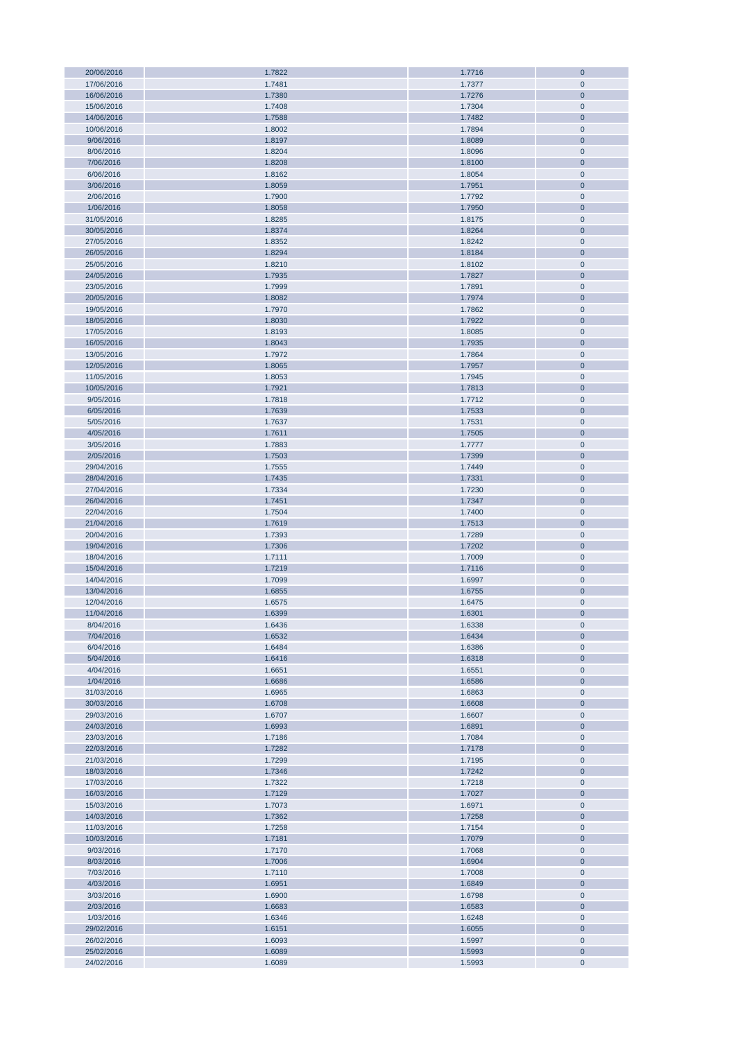| 20/06/2016 | 1.7822 | 1.7716 | $\bf 0$        |
|------------|--------|--------|----------------|
|            |        |        |                |
| 17/06/2016 | 1.7481 | 1.7377 | $\mathbf 0$    |
| 16/06/2016 | 1.7380 | 1.7276 | $\mathbf{0}$   |
|            |        |        |                |
| 15/06/2016 | 1.7408 | 1.7304 | $\mathbf{0}$   |
| 14/06/2016 | 1.7588 | 1.7482 | $\mathbf{0}$   |
| 10/06/2016 | 1.8002 | 1.7894 | $\mathbf 0$    |
| 9/06/2016  | 1.8197 | 1.8089 | $\mathbf{0}$   |
|            |        |        |                |
| 8/06/2016  | 1.8204 | 1.8096 | $\mathbf 0$    |
| 7/06/2016  | 1.8208 | 1.8100 | $\bf 0$        |
| 6/06/2016  | 1.8162 | 1.8054 | $\pmb{0}$      |
|            |        |        |                |
| 3/06/2016  | 1.8059 | 1.7951 | $\bf 0$        |
| 2/06/2016  | 1.7900 | 1.7792 | $\pmb{0}$      |
|            |        |        |                |
| 1/06/2016  | 1.8058 | 1.7950 | $\bf 0$        |
| 31/05/2016 | 1.8285 | 1.8175 | $\pmb{0}$      |
| 30/05/2016 | 1.8374 | 1.8264 | $\pmb{0}$      |
| 27/05/2016 | 1.8352 | 1.8242 | $\pmb{0}$      |
|            |        |        |                |
| 26/05/2016 | 1.8294 | 1.8184 | $\pmb{0}$      |
| 25/05/2016 | 1.8210 | 1.8102 | $\pmb{0}$      |
| 24/05/2016 | 1.7935 | 1.7827 | $\mathbf 0$    |
|            |        |        |                |
| 23/05/2016 | 1.7999 | 1.7891 | $\pmb{0}$      |
| 20/05/2016 | 1.8082 | 1.7974 | $\pmb{0}$      |
| 19/05/2016 | 1.7970 | 1.7862 | $\pmb{0}$      |
|            |        |        |                |
| 18/05/2016 | 1.8030 | 1.7922 | $\pmb{0}$      |
| 17/05/2016 | 1.8193 | 1.8085 | $\pmb{0}$      |
| 16/05/2016 | 1.8043 | 1.7935 | $\bf 0$        |
|            |        |        |                |
| 13/05/2016 | 1.7972 | 1.7864 | $\pmb{0}$      |
| 12/05/2016 | 1.8065 | 1.7957 | $\bf 0$        |
| 11/05/2016 | 1.8053 | 1.7945 | $\mathbf 0$    |
|            |        |        |                |
| 10/05/2016 | 1.7921 | 1.7813 | $\mathbf{0}$   |
| 9/05/2016  | 1.7818 | 1.7712 | $\mathbf{0}$   |
| 6/05/2016  | 1.7639 | 1.7533 | $\mathbf{0}$   |
|            |        |        |                |
| 5/05/2016  | 1.7637 | 1.7531 | $\pmb{0}$      |
| 4/05/2016  | 1.7611 | 1.7505 | $\bf 0$        |
| 3/05/2016  | 1.7883 | 1.7777 | $\pmb{0}$      |
|            |        |        |                |
| 2/05/2016  | 1.7503 | 1.7399 | $\bf 0$        |
| 29/04/2016 | 1.7555 | 1.7449 | $\pmb{0}$      |
| 28/04/2016 | 1.7435 | 1.7331 | $\bf 0$        |
|            |        |        |                |
| 27/04/2016 | 1.7334 | 1.7230 | $\pmb{0}$      |
| 26/04/2016 | 1.7451 | 1.7347 | $\pmb{0}$      |
| 22/04/2016 | 1.7504 | 1.7400 | $\pmb{0}$      |
|            |        |        |                |
| 21/04/2016 | 1.7619 | 1.7513 | $\pmb{0}$      |
| 20/04/2016 | 1.7393 | 1.7289 | $\pmb{0}$      |
| 19/04/2016 | 1.7306 | 1.7202 | $\pmb{0}$      |
|            |        |        |                |
| 18/04/2016 | 1.7111 | 1.7009 | $\pmb{0}$      |
| 15/04/2016 | 1.7219 | 1.7116 | $\bf 0$        |
| 14/04/2016 | 1.7099 | 1.6997 | $\pmb{0}$      |
|            |        |        | $\pmb{0}$      |
| 13/04/2016 | 1.6855 | 1.6755 |                |
| 12/04/2016 | 1.6575 | 1.6475 | $\pmb{0}$      |
| 11/04/2016 | 1.6399 | 1.6301 | $\overline{0}$ |
| 8/04/2016  | 1.6436 | 1.6338 | $\mathbf 0$    |
|            |        |        |                |
| 7/04/2016  | 1.6532 | 1.6434 | $\mathbf{0}$   |
| 6/04/2016  | 1.6484 | 1.6386 | $\pmb{0}$      |
| 5/04/2016  | 1.6416 | 1.6318 | $\bf 0$        |
|            |        |        |                |
| 4/04/2016  | 1.6651 | 1.6551 | $\pmb{0}$      |
| 1/04/2016  | 1.6686 | 1.6586 | $\bf 0$        |
| 31/03/2016 | 1.6965 | 1.6863 | $\pmb{0}$      |
|            |        |        |                |
| 30/03/2016 | 1.6708 | 1.6608 | $\pmb{0}$      |
| 29/03/2016 | 1.6707 | 1.6607 | $\pmb{0}$      |
| 24/03/2016 | 1.6993 | 1.6891 | $\pmb{0}$      |
| 23/03/2016 | 1.7186 | 1.7084 | $\pmb{0}$      |
|            |        |        |                |
| 22/03/2016 | 1.7282 | 1.7178 | $\pmb{0}$      |
| 21/03/2016 | 1.7299 | 1.7195 | $\pmb{0}$      |
| 18/03/2016 | 1.7346 | 1.7242 | $\pmb{0}$      |
|            |        |        |                |
| 17/03/2016 | 1.7322 | 1.7218 | $\pmb{0}$      |
| 16/03/2016 | 1.7129 | 1.7027 | $\pmb{0}$      |
| 15/03/2016 | 1.7073 | 1.6971 | $\pmb{0}$      |
| 14/03/2016 | 1.7362 | 1.7258 | $\pmb{0}$      |
|            |        |        |                |
| 11/03/2016 | 1.7258 | 1.7154 | $\pmb{0}$      |
| 10/03/2016 | 1.7181 | 1.7079 | $\pmb{0}$      |
|            |        |        | $\pmb{0}$      |
| 9/03/2016  | 1.7170 | 1.7068 |                |
| 8/03/2016  | 1.7006 | 1.6904 | $\pmb{0}$      |
| 7/03/2016  | 1.7110 | 1.7008 | $\pmb{0}$      |
| 4/03/2016  | 1.6951 | 1.6849 | $\bf 0$        |
|            |        |        |                |
| 3/03/2016  | 1.6900 | 1.6798 | $\pmb{0}$      |
| 2/03/2016  | 1.6683 | 1.6583 | $\bf 0$        |
| 1/03/2016  | 1.6346 | 1.6248 | $\pmb{0}$      |
|            |        |        |                |
| 29/02/2016 | 1.6151 | 1.6055 | $\bf 0$        |
| 26/02/2016 | 1.6093 | 1.5997 | $\pmb{0}$      |
| 25/02/2016 | 1.6089 | 1.5993 | $\bf 0$        |
|            |        |        |                |
| 24/02/2016 | 1.6089 | 1.5993 | $\pmb{0}$      |